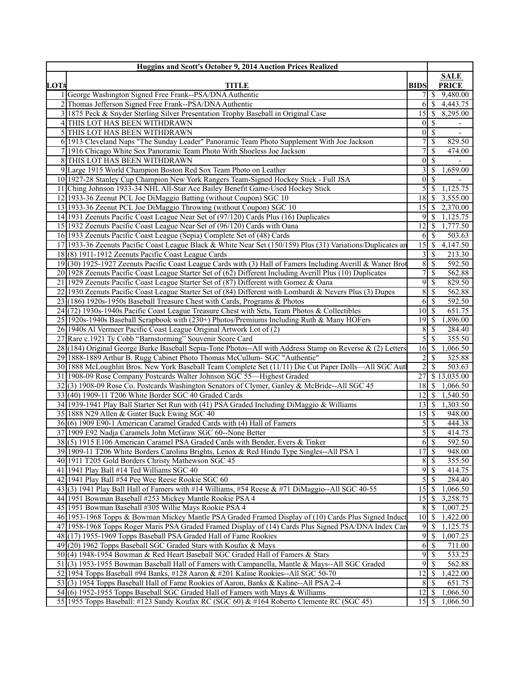|      | Huggins and Scott's October 9, 2014 Auction Prices Realized                                                  |                            |                                      |
|------|--------------------------------------------------------------------------------------------------------------|----------------------------|--------------------------------------|
|      |                                                                                                              |                            | <b>SALE</b>                          |
| LOT# | <b>TITLE</b>                                                                                                 | <b>BIDS</b>                | <b>PRICE</b>                         |
|      | 1 George Washington Signed Free Frank--PSA/DNA Authentic                                                     |                            | $\mathbb{S}$<br>9,480.00             |
|      | 2 Thomas Jefferson Signed Free Frank--PSA/DNA Authentic                                                      |                            | $6 \mid$ \$<br>4,443.75              |
|      | 1875 Peck & Snyder Sterling Silver Presentation Trophy Baseball in Original Case                             |                            | 8,295.00                             |
|      | 4 THIS LOT HAS BEEN WITHDRAWN                                                                                | $\overline{0}$             | - \$                                 |
|      | 5 THIS LOT HAS BEEN WITHDRAWN                                                                                |                            | $0\vert S$                           |
|      | 6 1913 Cleveland Naps "The Sunday Leader" Panoramic Team Photo Supplement With Joe Jackson                   | 7                          | $\overline{\mathcal{S}}$<br>829.50   |
|      | 7 1916 Chicago White Sox Panoramic Team Photo With Shoeless Joe Jackson                                      | 7                          | $\mathcal{S}$<br>474.00              |
|      | 8 THIS LOT HAS BEEN WITHDRAWN                                                                                | $\overline{0}$             | $\overline{\mathcal{S}}$             |
|      | 9 Large 1915 World Champion Boston Red Sox Team Photo on Leather                                             | 3                          | 1,659.00<br>-\$                      |
|      | 10 1927-28 Stanley Cup Champion New York Rangers Team-Signed Hockey Stick - Full JSA                         | $\overline{0}$             | $\mathcal{S}$                        |
|      | 11 Ching Johnson 1933-34 NHL All-Star Ace Bailey Benefit Game-Used Hockey Stick                              | 5                          | $\overline{\mathcal{S}}$<br>1,125.75 |
|      | 12 1933-36 Zeenut PCL Joe DiMaggio Batting (without Coupon) SGC 10                                           | 18                         | 3,555.00<br>l \$                     |
|      | 13 1933-36 Zeenut PCL Joe DiMaggio Throwing (without Coupon) SGC 10                                          |                            | 2,370.00                             |
|      | 14 1931 Zeenuts Pacific Coast League Near Set of (97/120) Cards Plus (16) Duplicates                         | 9                          | 1,125.75<br>$\vert$ \$               |
|      | 15 1932 Zeenuts Pacific Coast League Near Set of (96/120) Cards with Oana                                    | 12                         | 1,777.50<br>  \$                     |
|      | 16 1933 Zeenuts Pacific Coast League (Sepia) Complete Set of (48) Cards                                      | 6                          | - \$<br>503.63                       |
|      | 17 1933-36 Zeenuts Pacific Coast League Black & White Near Set (150/159) Plus (31) Variations/Duplicates are | 15                         | 4,147.50<br>-\$                      |
|      | 18 (8) 1911-1912 Zeenuts Pacific Coast League Cards                                                          | 3                          | -\$<br>213.30                        |
|      | 19(30) 1925-1927 Zeenuts Pacific Coast League Cards with (3) Hall of Famers Including Averill & Waner Brot   | $\,8\,$                    | $\overline{\mathcal{S}}$<br>592.50   |
|      | 20 1928 Zeenuts Pacific Coast League Starter Set of (62) Different Including Averill Plus (10) Duplicates    | $\tau$                     | $\mathcal{S}$<br>562.88              |
|      | 21 1929 Zeenuts Pacific Coast League Starter Set of (87) Different with Gomez & Oana                         | 9                          | $\overline{\mathcal{S}}$<br>829.50   |
|      | 22 1930 Zeenuts Pacific Coast League Starter Set of (84) Different with Lombardi & Nevers Plus (3) Dupes     | $\,8\,$                    | $\overline{\mathcal{S}}$<br>562.88   |
|      | 23 (186) 1920s-1950s Baseball Treasure Chest with Cards, Programs & Photos                                   | 6                          | \$<br>592.50                         |
|      | 24 (72) 1930s-1940s Pacific Coast League Treasure Chest with Sets, Team Photos & Collectibles                | $10\overline{\smash{)}\,}$ | 651.75                               |
|      | 25 1920s-1940s Baseball Scrapbook with (230+) Photos/Premiums Including Ruth & Many HOFers                   | $19$ $\sqrt{5}$            | 1,896.00                             |
|      | 26 1940s Al Vermeer Pacific Coast League Original Artwork Lot of (2)                                         | 8                          | S<br>284.40                          |
|      | 27 Rare c.1921 Ty Cobb "Barnstorming" Souvenir Score Card                                                    | 5                          | -\$<br>355.50                        |
|      | 28 (184) Original George Burke Baseball Sepia-Tone Photos--All with Address Stamp on Reverse & (2) Letters   | $16 \mid$ \$               | 1,066.50                             |
|      | 29 1888-1889 Arthur B. Rugg Cabinet Photo Thomas McCullum- SGC "Authentic"                                   | $\overline{c}$             | $\mathcal{S}$<br>325.88              |
|      | 30 1888 McLoughlin Bros. New York Baseball Team Complete Set (11/11) Die Cut Paper Dolls-All SGC Aut         | $\overline{2}$             | $\overline{\mathcal{S}}$<br>503.63   |
|      | 31 1908-09 Rose Company Postcards Walter Johnson SGC 55-Highest Graded                                       | 27                         | \$13,035.00                          |
|      | 32(3) 1908-09 Rose Co. Postcards Washington Senators of Clymer, Ganley & McBride--All SGC 45                 | $18 \mid S$                | 1,066.50                             |
|      | 33(40) 1909-11 T206 White Border SGC 40 Graded Cards                                                         | 12                         | $\sqrt{S}$<br>1,540.50               |
|      | 34 1939-1941 Play Ball Starter Set Run with (41) PSA Graded Including DiMaggio & Williams                    | $13$ $\sqrt{5}$            | 1,303.50                             |
|      | 35 1888 N29 Allen & Ginter Buck Ewing SGC 40                                                                 | $15$ $\sqrt{5}$            | 948.00                               |
|      | 36(6) 1909 E90-1 American Caramel Graded Cards with (4) Hall of Famers                                       |                            | $5\sqrt{3}$<br>444.38                |
|      | 37 1909 E92 Nadja Caramels John McGraw SGC 60--None Better                                                   | 5                          | $\mathcal{S}$<br>414.75              |
|      | 38(5) 1915 E106 American Caramel PSA Graded Cards with Bender, Evers & Tinker                                | <sup>6</sup>               | $\overline{\mathcal{S}}$<br>592.50   |
|      | 39 1909-11 T206 White Borders Carolina Brights, Lenox & Red Hindu Type Singles--All PSA 1                    | 17                         | $\sqrt{S}$<br>948.00                 |
|      | 40 1911 T205 Gold Borders Christy Mathewson SGC 45                                                           | 8                          | -\$<br>355.50                        |
|      | 41 1941 Play Ball #14 Ted Williams SGC 40                                                                    | 9                          | \$<br>414.75                         |
|      | 42 1941 Play Ball #54 Pee Wee Reese Rookie SGC 60                                                            | 5                          | $\mathcal{S}$<br>284.40              |
|      | 43(3) 1941 Play Ball Hall of Famers with #14 Williams, #54 Reese & #71 DiMaggio--All SGC 40-55               | 15                         | S<br>1,066.50                        |
|      | 44 1951 Bowman Baseball #253 Mickey Mantle Rookie PSA 4                                                      | 15                         | 3,258.75<br>  \$                     |
|      | 45 1951 Bowman Baseball #305 Willie Mays Rookie PSA 4                                                        | 8                          | 1,007.25<br>-S                       |
|      | 46 1953-1968 Topps & Bowman Mickey Mantle PSA Graded Framed Display of (10) Cards Plus Signed Induct         | 10                         | -\$<br>1,422.00                      |
|      | 47 1958-1968 Topps Roger Maris PSA Graded Framed Display of (14) Cards Plus Signed PSA/DNA Index Car         | 9                          | <sup>\$</sup><br>1,125.75            |
|      | 48(17) 1955-1969 Topps Baseball PSA Graded Hall of Fame Rookies                                              | $\overline{9}$             | $\mathbb{S}$<br>1,007.25             |
|      | $49(20)$ 1962 Topps Baseball SGC Graded Stars with Koufax & Mays                                             | 6                          | -\$<br>711.00                        |
|      | 50(4) 1948-1954 Bowman & Red Heart Baseball SGC Graded Hall of Famers & Stars                                | 9                          | $\mathcal{S}$<br>533.25              |
|      | 51(3) 1953-1955 Bowman Baseball Hall of Famers with Campanella, Mantle & Mays--All SGC Graded                | 9                          | $\mathcal{S}$<br>562.88              |
|      | 52 1954 Topps Baseball #94 Banks, #128 Aaron & #201 Kaline Rookies--All SGC 50-70                            | 12                         | -\$<br>1,422.00                      |
|      | 53(3) 1954 Topps Baseball Hall of Fame Rookies of Aaron, Banks & Kaline--All PSA 2-4                         | 8                          | -S<br>651.75                         |
|      | 54(6) 1952-1955 Topps Baseball SGC Graded Hall of Famers with Mays & Williams                                | 12                         | $\mathbb{S}$<br>1,066.50             |
|      | 55 1955 Topps Baseball: #123 Sandy Koufax RC (SGC 60) & #164 Roberto Clemente RC (SGC 45)                    |                            | 1,066.50                             |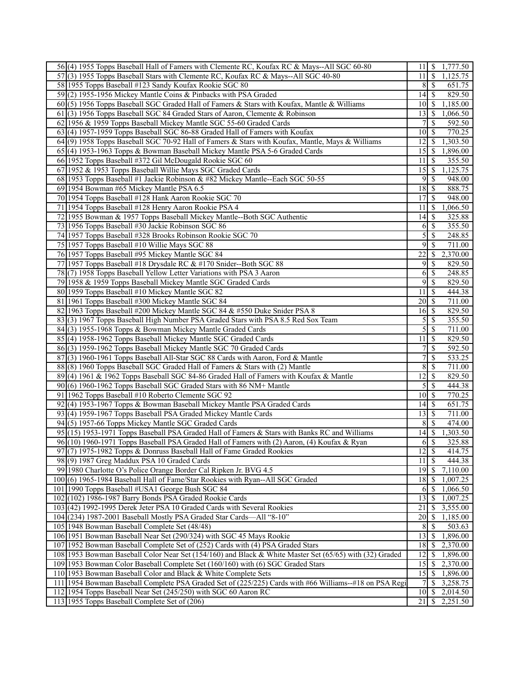| 56(4) 1955 Topps Baseball Hall of Famers with Clemente RC, Koufax RC & Mays--All SGC 60-80              | 11              | -S<br>1,777.50                     |
|---------------------------------------------------------------------------------------------------------|-----------------|------------------------------------|
| 57(3) 1955 Topps Baseball Stars with Clemente RC, Koufax RC & Mays--All SGC 40-80                       | 11 I            | $\vert$ \$<br>1,125.75             |
| 58 1955 Topps Baseball #123 Sandy Koufax Rookie SGC 80                                                  | 8               | 651.75<br>-S                       |
| 59(2) 1955-1956 Mickey Mantle Coins & Pinbacks with PSA Graded                                          | 14              | 829.50<br>-S                       |
| 60(5) 1956 Topps Baseball SGC Graded Hall of Famers & Stars with Koufax, Mantle & Williams              | 10              | 1,185.00<br>l \$                   |
| 61(3) 1956 Topps Baseball SGC 84 Graded Stars of Aaron, Clemente & Robinson                             | 13              | 1,066.50<br>-S                     |
| 62 1956 & 1959 Topps Baseball Mickey Mantle SGC 55-60 Graded Cards                                      | 7               | 592.50<br>S                        |
| 63(4) 1957-1959 Topps Baseball SGC 86-88 Graded Hall of Famers with Koufax                              | 10              | 770.25<br>-\$                      |
| 64(9) 1958 Topps Baseball SGC 70-92 Hall of Famers & Stars with Koufax, Mantle, Mays & Williams         | 12              | 1,303.50<br>-S                     |
| 65(4) 1953-1963 Topps & Bowman Baseball Mickey Mantle PSA 5-6 Graded Cards                              | 15              | S<br>1,896.00                      |
| 66 1952 Topps Baseball #372 Gil McDougald Rookie SGC 60                                                 | 11              | 355.50<br>\$                       |
| 67 1952 & 1953 Topps Baseball Willie Mays SGC Graded Cards                                              | 15              | $1,12\overline{5.75}$<br>- S       |
| 68 1953 Topps Baseball #1 Jackie Robinson & #82 Mickey Mantle--Each SGC 50-55                           | 9               | -\$<br>948.00                      |
| 69 1954 Bowman #65 Mickey Mantle PSA 6.5                                                                | 18              | 888.75<br>- S                      |
| 70 1954 Topps Baseball #128 Hank Aaron Rookie SGC 70                                                    | 17              | 948.00<br>l \$                     |
| 71 1954 Topps Baseball #128 Henry Aaron Rookie PSA 4                                                    | 11              | 1,066.50<br>-S                     |
| 72 1955 Bowman & 1957 Topps Baseball Mickey Mantle--Both SGC Authentic                                  | 14              | 325.88<br>-\$                      |
| 73 1956 Topps Baseball #30 Jackie Robinson SGC 86                                                       | 6               | 355.50<br>-S                       |
| 74 1957 Topps Baseball #328 Brooks Robinson Rookie SGC 70                                               | 5               | 248.85<br><sup>\$</sup>            |
| 75 1957 Topps Baseball #10 Willie Mays SGC 88                                                           | 9               | \$<br>711.00                       |
| 76 1957 Topps Baseball #95 Mickey Mantle SGC 84                                                         | 22              | 2,370.00<br>\$                     |
| 77 1957 Topps Baseball #18 Drysdale RC & #170 Snider--Both SGC 88                                       | 9               | 829.50<br><sup>\$</sup>            |
| 78(7) 1958 Topps Baseball Yellow Letter Variations with PSA 3 Aaron                                     | 6               | \$<br>248.85                       |
| 79 1958 & 1959 Topps Baseball Mickey Mantle SGC Graded Cards                                            | 9               | -\$<br>829.50                      |
| 80 1959 Topps Baseball #10 Mickey Mantle SGC 82                                                         | 11              | 444.38<br>-S                       |
| 81 1961 Topps Baseball #300 Mickey Mantle SGC 84                                                        | 20              | 711.00<br>  S                      |
| 82 1963 Topps Baseball #200 Mickey Mantle SGC 84 & #550 Duke Snider PSA 8                               | $16 \mid$ \$    | 829.50                             |
| 83(3) 1967 Topps Baseball High Number PSA Graded Stars with PSA 8.5 Red Sox Team                        | 5               | 355.50<br><sup>\$</sup>            |
| 84(3) 1955-1968 Topps & Bowman Mickey Mantle Graded Cards                                               | 5               | 711.00<br><sup>\$</sup>            |
| 85(4) 1958-1962 Topps Baseball Mickey Mantle SGC Graded Cards                                           | 11              | 829.50<br>-\$                      |
| 86(3) 1959-1962 Topps Baseball Mickey Mantle SGC 70 Graded Cards                                        | 7               | \$<br>592.50                       |
| 87(3) 1960-1961 Topps Baseball All-Star SGC 88 Cards with Aaron, Ford & Mantle                          | 7               | \$<br>533.25                       |
| 88 (8) 1960 Topps Baseball SGC Graded Hall of Famers & Stars with (2) Mantle                            | 8               | $\mathcal{S}$<br>711.00            |
| 89(4) 1961 & 1962 Topps Baseball SGC 84-86 Graded Hall of Famers with Koufax & Mantle                   | 12              | 829.50<br>-\$                      |
| $90(6)$ 1960-1962 Topps Baseball SGC Graded Stars with 86 NM+ Mantle                                    | 5               | -S<br>444.38                       |
| 91 1962 Topps Baseball #10 Roberto Clemente SGC 92                                                      | 10              | 770.25<br>- S                      |
| (4) 1953-1967 Topps & Bowman Baseball Mickey Mantle PSA Graded Cards<br>92                              | 14              | 651.75<br>- \$                     |
| 93(4) 1959-1967 Topps Baseball PSA Graded Mickey Mantle Cards                                           | 13              | 711.00<br>  S                      |
| 94(5) 1957-66 Topps Mickey Mantle SGC Graded Cards                                                      | 8               | $\mathcal{S}$<br>474.00            |
| 95(15) 1953-1971 Topps Baseball PSA Graded Hall of Famers & Stars with Banks RC and Williams            |                 | 1,303.50                           |
| 96(10) 1960-1971 Topps Baseball PSA Graded Hall of Famers with (2) Aaron, (4) Koufax & Ryan             | 6               | $\overline{\mathcal{S}}$<br>325.88 |
| (7) 1975-1982 Topps & Donruss Baseball Hall of Fame Graded Rookies<br>97                                | $\overline{12}$ | - \$<br>414.75                     |
| 98(9) 1987 Greg Maddux PSA 10 Graded Cards                                                              | 11              | 444.38<br>-S                       |
| 99 1980 Charlotte O's Police Orange Border Cal Ripken Jr. BVG 4.5                                       | 19              | 7,110.00<br>  S                    |
| 100(6) 1965-1984 Baseball Hall of Fame/Star Rookies with Ryan--All SGC Graded                           | 18              | 1,007.25<br>-S                     |
| 101 1990 Topps Baseball #USA1 George Bush SGC 84                                                        | 6               | -\$<br>1,066.50                    |
| 102 (102) 1986-1987 Barry Bonds PSA Graded Rookie Cards                                                 | 13              | 1,007.25<br>-S                     |
| 103 (42) 1992-1995 Derek Jeter PSA 10 Graded Cards with Several Rookies                                 | 21              | 3,555.00<br>\$                     |
| 104 (234) 1987-2001 Baseball Mostly PSA Graded Star Cards—All "8-10"                                    | 20              | 1,185.00<br>-\$                    |
| 105 1948 Bowman Baseball Complete Set (48/48)                                                           | 8               | -\$<br>503.63                      |
| 106 1951 Bowman Baseball Near Set (290/324) with SGC 45 Mays Rookie                                     | 13              | -S<br>1,896.00                     |
| 107 1952 Bowman Baseball Complete Set of (252) Cards with (4) PSA Graded Stars                          | 18              | \$<br>2,370.00                     |
| 108 1953 Bowman Baseball Color Near Set (154/160) and Black & White Master Set (65/65) with (32) Graded | 12              | 1,896.00<br>-S                     |
| 109 1953 Bowman Color Baseball Complete Set (160/160) with (6) SGC Graded Stars                         | 15              | 2,370.00<br>\$                     |
| 110 1953 Bowman Baseball Color and Black & White Complete Sets                                          | 15              | 1,896.00<br>-\$                    |
| 111 1954 Bowman Baseball Complete PSA Graded Set of (225/225) Cards with #66 Williams--#18 on PSA Regi  | 7               | 3,258.75<br><sup>\$</sup>          |
| 112 1954 Topps Baseball Near Set (245/250) with SGC 60 Aaron RC                                         | $10 \mid S$     | 2,014.50                           |
| 113 1955 Topps Baseball Complete Set of (206)                                                           | $21 \mid$ \$    | 2,251.50                           |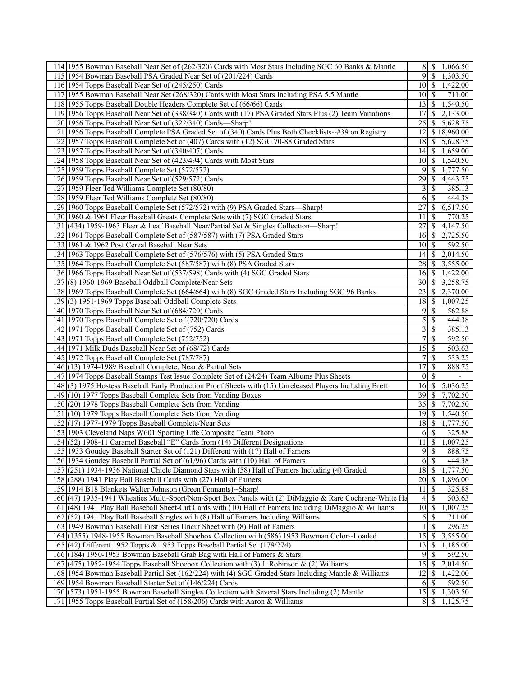| 114 1955 Bowman Baseball Near Set of (262/320) Cards with Most Stars Including SGC 60 Banks & Mantle    | $8$   \$         | 1,066.50                  |
|---------------------------------------------------------------------------------------------------------|------------------|---------------------------|
| 115 1954 Bowman Baseball PSA Graded Near Set of (201/224) Cards                                         | $\overline{9}$   | $\vert$ \$<br>1,303.50    |
| 116 1954 Topps Baseball Near Set of (245/250) Cards                                                     | 10               | 1,422.00<br>  \$          |
| 117 1955 Bowman Baseball Near Set (268/320) Cards with Most Stars Including PSA 5.5 Mantle              | 10               | -S<br>711.00              |
| 118 1955 Topps Baseball Double Headers Complete Set of (66/66) Cards                                    | 13               | 1,540.50<br>-S            |
| 119 1956 Topps Baseball Near Set of (338/340) Cards with (17) PSA Graded Stars Plus (2) Team Variations | 17               | 2,133.00<br><sup>\$</sup> |
| 120 1956 Topps Baseball Near Set of (322/340) Cards—Sharp!                                              | 25               | 5,628.75<br>S             |
| 121 1956 Topps Baseball Complete PSA Graded Set of (340) Cards Plus Both Checklists--#39 on Registry    | 12               | \$18,960.00               |
| 122 1957 Topps Baseball Complete Set of (407) Cards with (12) SGC 70-88 Graded Stars                    | 18               | \$<br>5,628.75            |
| 123 1957 Topps Baseball Near Set of (340/407) Cards                                                     |                  | 1,659.00                  |
| 124 1958 Topps Baseball Near Set of (423/494) Cards with Most Stars                                     | 10               | 1,540.50<br>  \$          |
| 125 1959 Topps Baseball Complete Set (572/572)                                                          | 9                | 1,777.50<br>-S            |
| 126 1959 Topps Baseball Near Set of (529/572) Cards                                                     | 29               | 4,443.75<br>-S            |
| 127 1959 Fleer Ted Williams Complete Set (80/80)                                                        | 3                | 385.13                    |
| 128 1959 Fleer Ted Williams Complete Set (80/80)                                                        |                  | \$<br>-S                  |
|                                                                                                         | 6                | 444.38                    |
| 129 1960 Topps Baseball Complete Set (572/572) with (9) PSA Graded Stars—Sharp!                         | 27               | 6,517.50<br>\$            |
| 130 1960 & 1961 Fleer Baseball Greats Complete Sets with (7) SGC Graded Stars                           | 11               | 770.25<br>S               |
| 131 (434) 1959-1963 Fleer & Leaf Baseball Near/Partial Set & Singles Collection—Sharp!                  | 27               | 4,147.50<br><sup>\$</sup> |
| 132 1961 Topps Baseball Complete Set of (587/587) with (7) PSA Graded Stars                             | 16               | 2,725.50<br>-S            |
| 133 1961 & 1962 Post Cereal Baseball Near Sets                                                          | 10               | 592.50<br>-S              |
| 134 1963 Topps Baseball Complete Set of (576/576) with (5) PSA Graded Stars                             | 14               | 2,014.50<br>-S            |
| 135 1964 Topps Baseball Complete Set (587/587) with (8) PSA Graded Stars                                | 28               | -S<br>3,555.00            |
| 136 1966 Topps Baseball Near Set of (537/598) Cards with (4) SGC Graded Stars                           | 16               | 1,422.00<br>  \$          |
| 137(8) 1960-1969 Baseball Oddball Complete/Near Sets                                                    | 30               | 3,258.75<br>-S            |
| 138 1969 Topps Baseball Complete Set (664/664) with (8) SGC Graded Stars Including SGC 96 Banks         | 23               | 2,370.00<br>-S            |
| 139(3) 1951-1969 Topps Baseball Oddball Complete Sets                                                   | 18               | 1,007.25<br>-S            |
| 140 1970 Topps Baseball Near Set of (684/720) Cards                                                     | 9                | 562.88<br>-\$             |
| 141 1970 Topps Baseball Complete Set of (720/720) Cards                                                 | 5                | \$<br>444.38              |
| 142 1971 Topps Baseball Complete Set of (752) Cards                                                     | 3                | 385.13<br>\$              |
| 143 1971 Topps Baseball Complete Set (752/752)                                                          | 7                | \$<br>592.50              |
| 144 1971 Milk Duds Baseball Near Set of (68/72) Cards                                                   | 15               | 503.63<br>-S              |
| 145 1972 Topps Baseball Complete Set (787/787)                                                          | 7                | $\mathcal{S}$<br>533.25   |
| 146 (13) 1974-1989 Baseball Complete, Near & Partial Sets                                               | 17               | \$<br>888.75              |
| 147 1974 Topps Baseball Stamps Test Issue Complete Set of (24/24) Team Albums Plus Sheets               | $\bf{0}$         | -S                        |
| 148(3) 1975 Hostess Baseball Early Production Proof Sheets with (15) Unreleased Players Including Brett | 16               | 5,036.25<br>-S            |
| 149 (10) 1977 Topps Baseball Complete Sets from Vending Boxes                                           | 39               | 7,702.50<br>-\$           |
| 150 (20) 1978 Topps Baseball Complete Sets from Vending                                                 | 35               | 7,702.50<br>S             |
| 151 (10) 1979 Topps Baseball Complete Sets from Vending                                                 | 19               | S<br>1,540.50             |
| 152 (17) 1977-1979 Topps Baseball Complete/Near Sets                                                    | 18               | -\$<br>1,777.50           |
| 153 1903 Cleveland Naps W601 Sporting Life Composite Team Photo                                         | $6$ \ $\sqrt{3}$ | 325.88                    |
| 154 (52) 1908-11 Caramel Baseball "E" Cards from (14) Different Designations                            | 11               | $\mathbb{S}$<br>1,007.25  |
| 155 1933 Goudey Baseball Starter Set of (121) Different with (17) Hall of Famers                        | 9                | \$<br>888.75              |
| 156 1934 Goudey Baseball Partial Set of (61/96) Cards with (10) Hall of Famers                          | 6                | -\$<br>444.38             |
| 157 (251) 1934-1936 National Chicle Diamond Stars with (58) Hall of Famers Including (4) Graded         | 18               | 1,777.50<br>- \$          |
| 158 (288) 1941 Play Ball Baseball Cards with (27) Hall of Famers                                        | 20               | 1,896.00<br>- S           |
| 159 1914 B18 Blankets Walter Johnson (Green Pennants)--Sharp!                                           | 11               | <sup>\$</sup><br>325.88   |
| 160 (47) 1935-1941 Wheaties Multi-Sport/Non-Sport Box Panels with (2) DiMaggio & Rare Cochrane-White Ha | 4                | <sup>\$</sup><br>503.63   |
| 161 (48) 1941 Play Ball Baseball Sheet-Cut Cards with (10) Hall of Famers Including DiMaggio & Williams | 10               | 1,007.25<br>-S            |
| 162 (52) 1941 Play Ball Baseball Singles with (8) Hall of Famers Including Williams                     | 5                | 711.00<br>\$              |
| 163 1949 Bowman Baseball First Series Uncut Sheet with (8) Hall of Famers                               | 1                | \$<br>296.25              |
| 164 (1355) 1948-1955 Bowman Baseball Shoebox Collection with (586) 1953 Bowman Color--Loaded            | 15               | 3,555.00<br>\$            |
| 165 (42) Different 1952 Topps & 1953 Topps Baseball Partial Set (179/274)                               | 13               | 1,185.00<br>-\$           |
| 166 (184) 1950-1953 Bowman Baseball Grab Bag with Hall of Famers & Stars                                | 9                | \$<br>592.50              |
| $167(475)$ 1952-1954 Topps Baseball Shoebox Collection with (3) J. Robinson & (2) Williams              | 15               | 2,014.50<br>\$            |
| 168 1954 Bowman Baseball Partial Set (162/224) with (4) SGC Graded Stars Including Mantle & Williams    | 12               | 1,422.00<br>-\$           |
| 169 1954 Bowman Baseball Starter Set of (146/224) Cards                                                 | 6                | 592.50<br>  S             |
| 170 (573) 1951-1955 Bowman Baseball Singles Collection with Several Stars Including (2) Mantle          |                  | 1,303.50                  |
| 171 1955 Topps Baseball Partial Set of (158/206) Cards with Aaron & Williams                            | $8 \mid$ \$      | 1,125.75                  |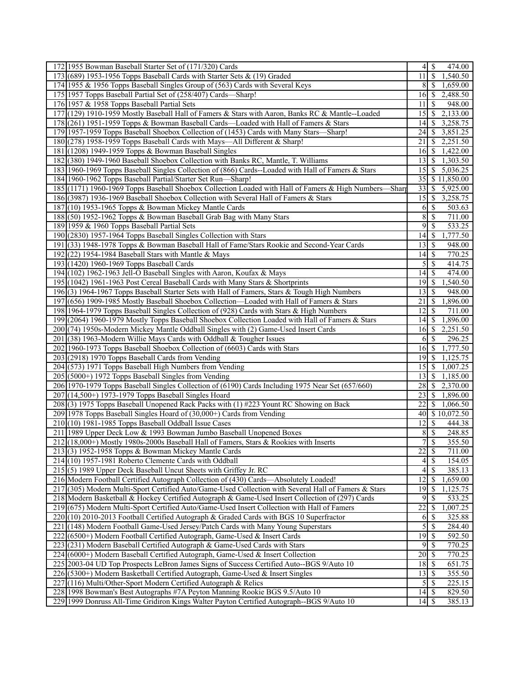| 172 1955 Bowman Baseball Starter Set of (171/320) Cards                                                                                                      | 4                   | \$<br>474.00                         |
|--------------------------------------------------------------------------------------------------------------------------------------------------------------|---------------------|--------------------------------------|
| 173 (689) 1953-1956 Topps Baseball Cards with Starter Sets & (19) Graded                                                                                     | 11                  | $\overline{\mathcal{S}}$<br>1,540.50 |
| 174 1955 & 1956 Topps Baseball Singles Group of (563) Cards with Several Keys                                                                                | 8                   | 1,659.00<br><sup>\$</sup>            |
| 175 1957 Topps Baseball Partial Set of (258/407) Cards—Sharp!                                                                                                | 16                  | 2,488.50<br><sup>\$</sup>            |
| 176 1957 & 1958 Topps Baseball Partial Sets                                                                                                                  | 11                  | <sup>\$</sup><br>948.00              |
| 177 (129) 1910-1959 Mostly Baseball Hall of Famers & Stars with Aaron, Banks RC & Mantle--Loaded                                                             | 15                  | 2,133.00<br>-S                       |
| 178 (261) 1951-1959 Topps & Bowman Baseball Cards—Loaded with Hall of Famers & Stars                                                                         | 14                  | 3,258.75<br>\$                       |
| 179 1957-1959 Topps Baseball Shoebox Collection of (1453) Cards with Many Stars—Sharp!                                                                       | 24                  | 3,851.25<br>S                        |
| 180 (278) 1958-1959 Topps Baseball Cards with Mays—All Different & Sharp!                                                                                    | 21                  | 2,251.50<br>-S                       |
| 181 (1208) 1949-1959 Topps & Bowman Baseball Singles                                                                                                         | 16                  | \$<br>1,422.00                       |
| 182 (380) 1949-1960 Baseball Shoebox Collection with Banks RC, Mantle, T. Williams                                                                           | 13                  | 1,303.50<br>-S                       |
| 183 1960-1969 Topps Baseball Singles Collection of (866) Cards--Loaded with Hall of Famers & Stars                                                           | 15                  | 5,036.25<br>-S                       |
| 184 1960-1962 Topps Baseball Partial/Starter Set Run-Sharp!                                                                                                  | 35                  | \$11,850.00                          |
| 185 (1171) 1960-1969 Topps Baseball Shoebox Collection Loaded with Hall of Famers & High Numbers—Sharp                                                       | 33                  | 5,925.00<br>\$                       |
| 186 (3987) 1936-1969 Baseball Shoebox Collection with Several Hall of Famers & Stars                                                                         | 15                  | 3,258.75<br>-\$                      |
| 187 (10) 1953-1965 Topps & Bowman Mickey Mantle Cards                                                                                                        | 6                   | $\boldsymbol{\mathsf{S}}$<br>503.63  |
| 188 (50) 1952-1962 Topps & Bowman Baseball Grab Bag with Many Stars                                                                                          | 8                   | \$<br>711.00                         |
| 189 1959 & 1960 Topps Baseball Partial Sets                                                                                                                  | 9                   | 533.25<br>\$                         |
| 190 (2830) 1957-1964 Topps Baseball Singles Collection with Stars                                                                                            | 14                  | 1,777.50<br><sup>\$</sup>            |
| 191 (33) 1948-1978 Topps & Bowman Baseball Hall of Fame/Stars Rookie and Second-Year Cards                                                                   | 13                  | <sup>\$</sup><br>948.00              |
| $192(22)$ 1954-1984 Baseball Stars with Mantle & Mays                                                                                                        | 14                  | 770.25<br>$\boldsymbol{\mathsf{S}}$  |
| 193 (1420) 1960-1969 Topps Baseball Cards                                                                                                                    | 5                   | \$<br>414.75                         |
| 194 (102) 1962-1963 Jell-O Baseball Singles with Aaron, Koufax & Mays                                                                                        | 14                  | \$<br>474.00                         |
| 195 (1042) 1961-1963 Post Cereal Baseball Cards with Many Stars & Shortprints                                                                                | 19                  | 1,540.50<br>-S                       |
| 196(3) 1964-1967 Topps Baseball Starter Sets with Hall of Famers, Stars & Tough High Numbers                                                                 | 13                  | 948.00<br>S                          |
| 197 (656) 1909-1985 Mostly Baseball Shoebox Collection—Loaded with Hall of Famers & Stars                                                                    | 21                  | 1,896.00<br><sup>\$</sup>            |
| 198 1964-1979 Topps Baseball Singles Collection of (928) Cards with Stars & High Numbers                                                                     | 12                  | <sup>\$</sup><br>711.00              |
| 199 (2064) 1960-1979 Mostly Topps Baseball Shoebox Collection Loaded with Hall of Famers & Stars                                                             | 14                  | 1,896.00<br><sup>\$</sup>            |
| 200 (74) 1950s-Modern Mickey Mantle Oddball Singles with (2) Game-Used Insert Cards                                                                          | 16                  | 2,251.50<br>-S                       |
| 201 (38) 1963-Modern Willie Mays Cards with Oddball & Tougher Issues                                                                                         | 6                   | 296.25<br>S                          |
| 202 1960-1973 Topps Baseball Shoebox Collection of (6603) Cards with Stars                                                                                   | 16                  | 1,777.50<br>-\$                      |
| 203 (2918) 1970 Topps Baseball Cards from Vending                                                                                                            | 19                  | 1,125.75<br>-\$                      |
| 204 (573) 1971 Topps Baseball High Numbers from Vending                                                                                                      | 15                  | -S<br>$\overline{1,007.25}$          |
| 205 (5000+) 1972 Topps Baseball Singles from Vending                                                                                                         | 13                  | <sup>\$</sup><br>1,185.00            |
| 206 1970-1979 Topps Baseball Singles Collection of (6190) Cards Including 1975 Near Set (657/660)                                                            | 28                  | \$<br>2,370.00                       |
| 207 (14,500+) 1973-1979 Topps Baseball Singles Hoard                                                                                                         | 23                  | 1,896.00<br>\$                       |
| 208 (3) 1975 Topps Baseball Unopened Rack Packs with (1) #223 Yount RC Showing on Back                                                                       | 22                  | 1,066.50<br>S                        |
| 209 1978 Topps Baseball Singles Hoard of (30,000+) Cards from Vending                                                                                        | 40                  | \$10,072.50                          |
| $210(10)$ 1981-1985 Topps Baseball Oddball Issue Cases                                                                                                       | 12                  | \$<br>444.38                         |
| 211 1989 Upper Deck Low & 1993 Bowman Jumbo Baseball Unopened Boxes                                                                                          | 8                   | $\mathcal{S}$<br>248.85              |
| 212 (18,000+) Mostly 1980s-2000s Baseball Hall of Famers, Stars & Rookies with Inserts                                                                       | $\tau$              | $\overline{\mathcal{S}}$<br>355.50   |
| 213(3) 1952-1958 Topps & Bowman Mickey Mantle Cards                                                                                                          | 22                  | \$<br>711.00                         |
| $214(10)$ 1957-1981 Roberto Clemente Cards with Oddball                                                                                                      | 4                   | 154.05<br>S                          |
| 215(5) 1989 Upper Deck Baseball Uncut Sheets with Griffey Jr. RC                                                                                             | 4                   | <sup>\$</sup><br>385.13              |
| 216 Modern Football Certified Autograph Collection of (430) Cards—Absolutely Loaded!                                                                         | 12                  | \$<br>1,659.00                       |
| 217 (305) Modern Multi-Sport Certified Auto/Game-Used Collection with Several Hall of Famers & Stars                                                         | 19                  | \$<br>1,125.75                       |
| 218 Modern Basketball & Hockey Certified Autograph & Game-Used Insert Collection of (297) Cards                                                              | 9                   | \$<br>533.25                         |
| 219 (675) Modern Multi-Sport Certified Auto/Game-Used Insert Collection with Hall of Famers                                                                  | $\overline{22}$     | \$<br>1,007.25                       |
| 220 (10) 2010-2013 Football Certified Autograph & Graded Cards with BGS 10 Superfractor                                                                      | 6                   | 325.88<br>-S<br>284.40               |
| 221 (148) Modern Football Game-Used Jersey/Patch Cards with Many Young Superstars                                                                            | $\mathfrak s$<br>19 | $\mathbb{S}$<br>592.50               |
| 222 (6500+) Modern Football Certified Autograph, Game-Used & Insert Cards                                                                                    | 9                   | \$<br>770.25                         |
| 223 (231) Modern Baseball Certified Autograph & Game-Used Cards with Stars<br>224 (6000+) Modern Baseball Certified Autograph, Game-Used & Insert Collection | 20                  | \$<br>770.25<br>-\$                  |
| 225 2003-04 UD Top Prospects LeBron James Signs of Success Certified Auto--BGS 9/Auto 10                                                                     |                     |                                      |
| 226 (5300+) Modern Basketball Certified Autograph, Game-Used & Insert Singles                                                                                | 18<br>13            | \$<br>651.75<br>355.50               |
| 227 (116) Multi/Other-Sport Modern Certified Autograph & Relics                                                                                              | 5                   | -S<br>225.15<br>- \$                 |
| 228 1998 Bowman's Best Autographs #7A Peyton Manning Rookie BGS 9.5/Auto 10                                                                                  | 14                  | $\mathbb{S}$<br>829.50               |
| 229 1999 Donruss All-Time Gridiron Kings Walter Payton Certified Autograph--BGS 9/Auto 10                                                                    |                     | 385.13                               |
|                                                                                                                                                              |                     |                                      |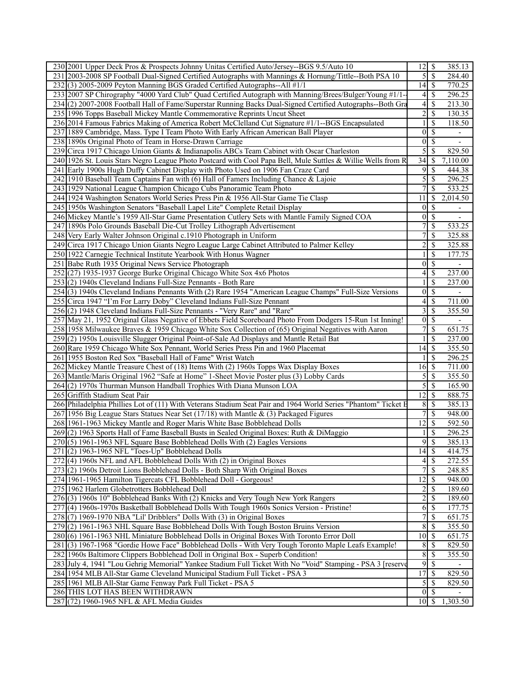| 230 2001 Upper Deck Pros & Prospects Johnny Unitas Certified Auto/Jersey--BGS 9.5/Auto 10                      | $12 \mid$ \$            |                          | 385.13                   |
|----------------------------------------------------------------------------------------------------------------|-------------------------|--------------------------|--------------------------|
| 231 2003-2008 SP Football Dual-Signed Certified Autographs with Mannings & Hornung/Tittle--Both PSA 10         | 5                       | $\overline{\mathcal{S}}$ | 284.40                   |
| 232(3) 2005-2009 Peyton Manning BGS Graded Certified Autographs--All #1/1                                      | $14 \mid$ \$            |                          | $\overline{770.25}$      |
| 233 2007 SP Chirography "4000 Yard Club" Quad Certified Autograph with Manning/Brees/Bulger/Young #1/1-        | 4                       | \$                       | 296.25                   |
| 234(2) 2007-2008 Football Hall of Fame/Superstar Running Backs Dual-Signed Certified Autographs--Both Gra      | 4                       | S                        | 213.30                   |
| 235 1996 Topps Baseball Mickey Mantle Commemorative Reprints Uncut Sheet                                       | $\overline{2}$          | -S                       | 130.35                   |
| 236 2014 Famous Fabrics Making of America Robert McClelland Cut Signature #1/1--BGS Encapsulated               |                         | \$                       | 118.50                   |
| 237 1889 Cambridge, Mass. Type I Team Photo With Early African American Ball Player                            | $\overline{0}$          | \$                       |                          |
| 238 1890s Original Photo of Team in Horse-Drawn Carriage                                                       | $\overline{0}$          | <sup>\$</sup>            | $\blacksquare$           |
| 239 Circa 1917 Chicago Union Giants & Indianapolis ABCs Team Cabinet with Oscar Charleston                     | 5                       | \$                       | 829.50                   |
| 240 1926 St. Louis Stars Negro League Photo Postcard with Cool Papa Bell, Mule Suttles & Willie Wells from R   | 34                      | S                        | 7,110.00                 |
| 241 Early 1900s Hugh Duffy Cabinet Display with Photo Used on 1906 Fan Craze Card                              |                         | $\overline{9}$ s         | 444.38                   |
| 242 1910 Baseball Team Captains Fan with (6) Hall of Famers Including Chance & Lajoie                          | 5                       | \$                       | 296.25                   |
| 243 1929 National League Champion Chicago Cubs Panoramic Team Photo                                            | $\overline{7}$          | \$                       | 533.25                   |
| 244 1924 Washington Senators World Series Press Pin & 1956 All-Star Game Tie Clasp                             | 11                      | <sup>\$</sup>            | 2,014.50                 |
| 245 1950s Washington Senators "Baseball Lapel Lite" Complete Retail Display                                    | 0                       | -S                       | $\overline{\phantom{0}}$ |
| 246 Mickey Mantle's 1959 All-Star Game Presentation Cutlery Sets with Mantle Family Signed COA                 | $\overline{0}$          | <sup>\$</sup>            | $\overline{\phantom{0}}$ |
| 247 1890s Polo Grounds Baseball Die-Cut Trolley Lithograph Advertisement                                       | 7                       | \$                       | 533.25                   |
| 248 Very Early Walter Johnson Original c.1910 Photograph in Uniform                                            | 7                       | \$                       | 325.88                   |
| 249 Circa 1917 Chicago Union Giants Negro League Large Cabinet Attributed to Palmer Kelley                     | $\overline{c}$          | \$                       | 325.88                   |
| 250 1922 Carnegie Technical Institute Yearbook With Honus Wagner                                               |                         | S                        | 177.75                   |
| 251 Babe Ruth 1935 Original News Service Photograph                                                            | 0                       | \$                       |                          |
| 252(27) 1935-1937 George Burke Original Chicago White Sox 4x6 Photos                                           | 4                       | \$                       | 237.00                   |
| 253(2) 1940s Cleveland Indians Full-Size Pennants - Both Rare                                                  |                         | \$                       | 237.00                   |
| 254(3) 1940s Cleveland Indians Pennants With (2) Rare 1954 "American League Champs" Full-Size Versions         | $\boldsymbol{0}$        | \$                       |                          |
| 255 Circa 1947 "I'm For Larry Doby" Cleveland Indians Full-Size Pennant                                        | $4\vert$                | $\mathcal{S}$            | 711.00                   |
| 256(2) 1948 Cleveland Indians Full-Size Pennants - "Very Rare" and "Rare"                                      | 3                       | \$                       | 355.50                   |
| 257 May 21, 1952 Original Glass Negative of Ebbets Field Scoreboard Photo From Dodgers 15-Run 1st Inning!      | 0                       | S                        |                          |
| 258 1958 Milwaukee Braves & 1959 Chicago White Sox Collection of (65) Original Negatives with Aaron            | $\overline{7}$          | \$                       | 651.75                   |
| 259(2) 1950s Louisville Slugger Original Point-of-Sale Ad Displays and Mantle Retail Bat                       |                         | \$                       | 237.00                   |
| 260 Rare 1959 Chicago White Sox Pennant, World Series Press Pin and 1960 Placemat                              | 14                      | -S                       | 355.50                   |
| 261 1955 Boston Red Sox "Baseball Hall of Fame" Wrist Watch                                                    |                         | <sup>\$</sup>            | 296.25                   |
| 262 Mickey Mantle Treasure Chest of (18) Items With (2) 1960s Topps Wax Display Boxes                          | 16                      | <sup>\$</sup>            | 711.00                   |
| 263 Mantle/Maris Original 1962 "Safe at Home" 1-Sheet Movie Poster plus (3) Lobby Cards                        | 5                       | \$                       | 355.50                   |
| 264(2) 1970s Thurman Munson Handball Trophies With Diana Munson LOA                                            | 5                       | \$                       | 165.90                   |
| 265 Griffith Stadium Seat Pair                                                                                 | $\overline{12}$         | $\mathcal{S}$            | 888.75                   |
| 266 Philadelphia Phillies Lot of (11) With Veterans Stadium Seat Pair and 1964 World Series "Phantom" Ticket E | 8                       | -S                       | 385.13                   |
| 267 1956 Big League Stars Statues Near Set (17/18) with Mantle & (3) Packaged Figures                          | 7                       | -\$                      | 948.00                   |
| 268 1961-1963 Mickey Mantle and Roger Maris White Base Bobblehead Dolls                                        | 12                      | \$                       | 592.50                   |
| 269(2) 1963 Sports Hall of Fame Baseball Busts in Sealed Original Boxes: Ruth & DiMaggio                       |                         | \$                       | 296.25                   |
| 270(5) 1961-1963 NFL Square Base Bobblehead Dolls With (2) Eagles Versions                                     | $\overline{9}$          | -\$                      | 385.13                   |
| 271 (2) 1963-1965 NFL "Toes-Up" Bobblehead Dolls                                                               | $14 \mid$ \$            |                          | 414.75                   |
| 272(4) 1960s NFL and AFL Bobblehead Dolls With (2) in Original Boxes                                           | 4                       | $\mathbb{S}$             | 272.55                   |
| 273(2) 1960s Detroit Lions Bobblehead Dolls - Both Sharp With Original Boxes                                   | $\overline{7}$          | \$                       | 248.85                   |
| 274 1961-1965 Hamilton Tigercats CFL Bobblehead Doll - Gorgeous!                                               | 12                      | \$                       | 948.00                   |
| 275 1962 Harlem Globetrotters Bobblehead Doll                                                                  | $\overline{\mathbf{c}}$ | S                        | 189.60                   |
| 276(3) 1960s 10" Bobblehead Banks With (2) Knicks and Very Tough New York Rangers                              | $\overline{2}$          | -S                       | 189.60                   |
| 277 (4) 1960s-1970s Basketball Bobblehead Dolls With Tough 1960s Sonics Version - Pristine!                    | 6                       | $\mathbb{S}$             | 177.75                   |
| 278(7) 1969-1970 NBA "Lil' Dribblers" Dolls With (3) in Original Boxes                                         | 7                       | \$                       | 651.75                   |
| 279 (2) 1961-1963 NHL Square Base Bobblehead Dolls With Tough Boston Bruins Version                            | 8                       | -\$                      | 355.50                   |
| 280(6) 1961-1963 NHL Miniature Bobblehead Dolls in Original Boxes With Toronto Error Doll                      | $10 \mid S$             |                          | 651.75                   |
| 281 (3) 1967-1968 "Gordie Howe Face" Bobblehead Dolls - With Very Tough Toronto Maple Leafs Example!           | 8                       | S                        | 829.50                   |
| 282 1960s Baltimore Clippers Bobblehead Doll in Original Box - Superb Condition!                               |                         | $8 \mid \frac{6}{5}$     | 355.50                   |
| 283 July 4, 1941 "Lou Gehrig Memorial" Yankee Stadium Full Ticket With No "Void" Stamping - PSA 3 [reserve     | 9                       | <sup>\$</sup>            |                          |
| 284 1954 MLB All-Star Game Cleveland Municipal Stadium Full Ticket - PSA 3                                     | 17                      | -S                       | 829.50                   |
| 285 1961 MLB All-Star Game Fenway Park Full Ticket - PSA 5                                                     |                         |                          | 829.50                   |
| 286 THIS LOT HAS BEEN WITHDRAWN                                                                                |                         | $0\vert S$               |                          |
|                                                                                                                | $10\vert S$             |                          | 1,303.50                 |
| 287 (72) 1960-1965 NFL & AFL Media Guides                                                                      |                         |                          |                          |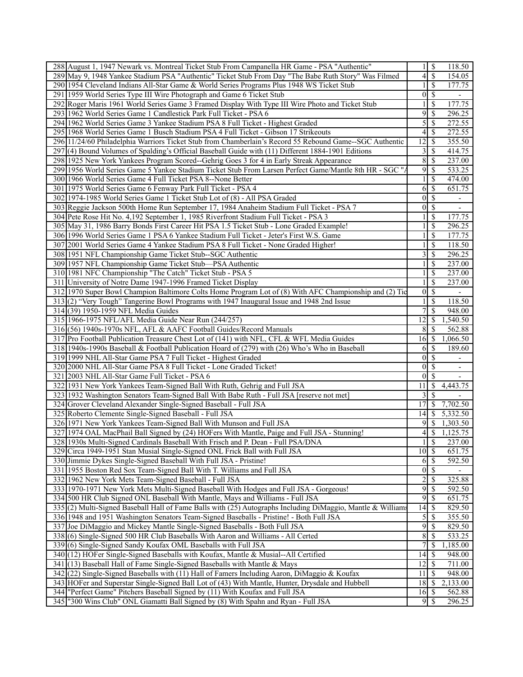| 288 August 1, 1947 Newark vs. Montreal Ticket Stub From Campanella HR Game - PSA "Authentic"                | 1 <sup>1</sup>          | $\overline{\mathcal{S}}$ | 118.50                   |
|-------------------------------------------------------------------------------------------------------------|-------------------------|--------------------------|--------------------------|
| 289 May 9, 1948 Yankee Stadium PSA "Authentic" Ticket Stub From Day "The Babe Ruth Story" Was Filmed        | $\vert 4 \vert$         | \$                       | 154.05                   |
| 290 1954 Cleveland Indians All-Star Game & World Series Programs Plus 1948 WS Ticket Stub                   |                         | \$                       | 177.75                   |
| 291 1959 World Series Type III Wire Photograph and Game 6 Ticket Stub                                       | $\overline{0}$          | \$                       | $\overline{\phantom{a}}$ |
| 292 Roger Maris 1961 World Series Game 3 Framed Display With Type III Wire Photo and Ticket Stub            | 1                       | \$                       | 177.75                   |
| 293 1962 World Series Game 1 Candlestick Park Full Ticket - PSA 6                                           | 9                       | \$                       | 296.25                   |
| 294 1962 World Series Game 3 Yankee Stadium PSA 8 Full Ticket - Highest Graded                              | 5                       | \$                       | 272.55                   |
| 295 1968 World Series Game 1 Busch Stadium PSA 4 Full Ticket - Gibson 17 Strikeouts                         | 4                       | \$                       | 272.55                   |
| 296 11/24/60 Philadelphia Warriors Ticket Stub from Chamberlain's Record 55 Rebound Game--SGC Authentic     | 12                      | \$                       | 355.50                   |
| 297 (4) Bound Volumes of Spalding's Official Baseball Guide with (11) Different 1884-1901 Editions          | $\overline{\mathbf{3}}$ | \$                       | 414.75                   |
| 298 1925 New York Yankees Program Scored--Gehrig Goes 3 for 4 in Early Streak Appearance                    | 8                       | \$                       | 237.00                   |
| 299 1956 World Series Game 5 Yankee Stadium Ticket Stub From Larsen Perfect Game/Mantle 8th HR - SGC "A     | $\overline{9}$          | \$                       | 533.25                   |
| 300 1966 World Series Game 4 Full Ticket PSA 8--None Better                                                 |                         | \$                       | 474.00                   |
| 301 1975 World Series Game 6 Fenway Park Full Ticket - PSA 4                                                | 6                       | \$                       | 651.75                   |
| 302 1974-1985 World Series Game 1 Ticket Stub Lot of (8) - All PSA Graded                                   | $\overline{0}$          | \$                       |                          |
|                                                                                                             |                         |                          |                          |
| 303 Reggie Jackson 500th Home Run September 17, 1984 Anaheim Stadium Full Ticket - PSA 7                    | $\overline{0}$          | \$                       | $\overline{\phantom{a}}$ |
| 304 Pete Rose Hit No. 4,192 September 1, 1985 Riverfront Stadium Full Ticket - PSA 3                        | 1                       | \$                       | 177.75                   |
| 305 May 31, 1986 Barry Bonds First Career Hit PSA 1.5 Ticket Stub - Lone Graded Example!                    |                         | \$                       | 296.25                   |
| 306 1996 World Series Game 1 PSA 6 Yankee Stadium Full Ticket - Jeter's First W.S. Game                     |                         | \$                       | 177.75                   |
| 307 2001 World Series Game 4 Yankee Stadium PSA 8 Full Ticket - None Graded Higher!                         | $\mathbf{1}$            | \$                       | 118.50                   |
| 308 1951 NFL Championship Game Ticket Stub--SGC Authentic                                                   | $\overline{3}$          | \$                       | 296.25                   |
| 309 1957 NFL Championship Game Ticket Stub—PSA Authentic                                                    |                         | \$                       | 237.00                   |
| 310 1981 NFC Championship "The Catch" Ticket Stub - PSA 5                                                   | $\mathbf{1}$            | \$                       | 237.00                   |
| 311 University of Notre Dame 1947-1996 Framed Ticket Display                                                | 1                       | \$                       | 237.00                   |
| 312 1970 Super Bowl Champion Baltimore Colts Home Program Lot of (8) With AFC Championship and (2) Tic      | $\overline{0}$          | \$                       |                          |
| 313(2) "Very Tough" Tangerine Bowl Programs with 1947 Inaugural Issue and 1948 2nd Issue                    | $\mathbf{1}$            | \$                       | 118.50                   |
| 314 (39) 1950-1959 NFL Media Guides                                                                         | 7                       | \$                       | 948.00                   |
| 315 1966-1975 NFL/AFL Media Guide Near Run (244/257)                                                        | 12                      | \$                       | 1,540.50                 |
| 316(56) 1940s-1970s NFL, AFL & AAFC Football Guides/Record Manuals                                          | 8                       | S                        | 562.88                   |
| 317 Pro Football Publication Treasure Chest Lot of (141) with NFL, CFL & WFL Media Guides                   | 16                      | $\mathcal{S}$            | 1,066.50                 |
| 318 1940s-1990s Baseball & Football Publication Hoard of (279) with (26) Who's Who in Baseball              | 6                       | \$                       | 189.60                   |
| 319 1999 NHL All-Star Game PSA 7 Full Ticket - Highest Graded                                               | $\overline{0}$          | $\mathbb{S}$             |                          |
| 320 2000 NHL All-Star Game PSA 8 Full Ticket - Lone Graded Ticket!                                          | $\overline{0}$          | \$                       | $\overline{\phantom{a}}$ |
| 321 2003 NHL All-Star Game Full Ticket - PSA 6                                                              | $\overline{0}$          | $\mathcal{S}$            |                          |
| 322 1931 New York Yankees Team-Signed Ball With Ruth, Gehrig and Full JSA                                   | 11                      | \$                       | 4,443.75                 |
| 323 1932 Washington Senators Team-Signed Ball With Babe Ruth - Full JSA [reserve not met]                   | $\frac{3}{ }$           | \$                       |                          |
| 324 Grover Cleveland Alexander Single-Signed Baseball - Full JSA                                            | 17                      | S                        | 7,702.50                 |
| 325 Roberto Clemente Single-Signed Baseball - Full JSA                                                      | 14                      | $\mathbb{S}$             | $\overline{5,332.50}$    |
| 326 1971 New York Yankees Team-Signed Ball With Munson and Full JSA                                         | 9                       | <sup>\$</sup>            | 1,303.50                 |
| 327 1974 OAL MacPhail Ball Signed by (24) HOFers With Mantle, Paige and Full JSA - Stunning!                | 4                       | \$                       | 1,125.75                 |
| 328 1930s Multi-Signed Cardinals Baseball With Frisch and P. Dean - Full PSA/DNA                            | 11                      | $\mathbf{\$}$            | 237.00                   |
| 329 Circa 1949-1951 Stan Musial Single-Signed ONL Frick Ball with Full JSA                                  | $10 \mid \text{S}$      |                          | 651.75                   |
| 330 Jimmie Dykes Single-Signed Baseball With Full JSA - Pristine!                                           | 6                       | \$                       | $\overline{592.50}$      |
| 331 1955 Boston Red Sox Team-Signed Ball With T. Williams and Full JSA                                      | $\overline{0 S}$        |                          |                          |
| 332 1962 New York Mets Team-Signed Baseball - Full JSA                                                      | $\overline{2}$          | \$                       | 325.88                   |
| 333 1970-1971 New York Mets Multi-Signed Baseball With Hodges and Full JSA - Gorgeous!                      | 9                       | \$                       | 592.50                   |
| 334 500 HR Club Signed ONL Baseball With Mantle, Mays and Williams - Full JSA                               | $\overline{9}$          | \$                       | 651.75                   |
| 335 (2) Multi-Signed Baseball Hall of Fame Balls with (25) Autographs Including DiMaggio, Mantle & Williams | 14                      | \$                       | 829.50                   |
| 336 1948 and 1951 Washington Senators Team-Signed Baseballs - Pristine! - Both Full JSA                     | $\mathfrak{S}$          | \$                       | 355.50                   |
| 337 Joe DiMaggio and Mickey Mantle Single-Signed Baseballs - Both Full JSA                                  | 9                       | $\mathbb{S}$             | 829.50                   |
| 338 (6) Single-Signed 500 HR Club Baseballs With Aaron and Williams - All Certed                            | 8                       | \$                       | 533.25                   |
|                                                                                                             | 7                       | \$                       |                          |
| 339(6) Single-Signed Sandy Koufax OML Baseballs with Full JSA                                               |                         |                          | 1,185.00                 |
| 340 (12) HOFer Single-Signed Baseballs with Koufax, Mantle & Musial--All Certified                          | 14                      | -S                       | 948.00                   |
| 341 (13) Baseball Hall of Fame Single-Signed Baseballs with Mantle & Mays                                   | 12                      | $\overline{\mathcal{S}}$ | 711.00                   |
| $342$ (22) Single-Signed Baseballs with (11) Hall of Famers Including Aaron, DiMaggio & Koufax              | 11                      | \$                       | 948.00                   |
| 343 HOFer and Superstar Single-Signed Ball Lot of (43) With Mantle, Hunter, Drysdale and Hubbell            | 18                      | S                        | $\overline{2,}133.00$    |
| 344 "Perfect Game" Pitchers Baseball Signed by (11) With Koufax and Full JSA                                | 16                      | $\mathcal{S}$            | 562.88                   |
| 345 ["300 Wins Club" ONL Giamatti Ball Signed by (8) With Spahn and Ryan - Full JSA                         | 9                       | S                        | 296.25                   |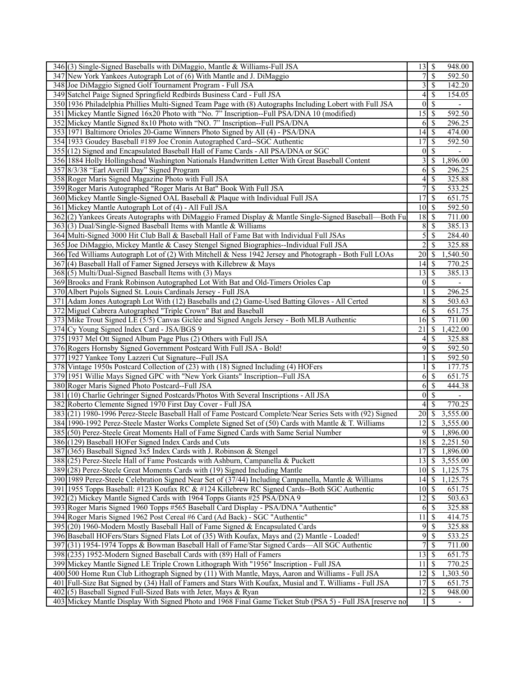| 346(3) Single-Signed Baseballs with DiMaggio, Mantle & Williams-Full JSA                                                                                                     |                      | 948.00                             |
|------------------------------------------------------------------------------------------------------------------------------------------------------------------------------|----------------------|------------------------------------|
| 347 New York Yankees Autograph Lot of (6) With Mantle and J. DiMaggio                                                                                                        |                      | $\mathcal{S}$<br>592.50            |
| 348 Joe DiMaggio Signed Golf Tournament Program - Full JSA                                                                                                                   | 3                    | \$<br>142.20                       |
| 349 Satchel Paige Signed Springfield Redbirds Business Card - Full JSA                                                                                                       | 4                    | <sup>\$</sup><br>154.05            |
| 350 1936 Philadelphia Phillies Multi-Signed Team Page with (8) Autographs Including Lobert with Full JSA                                                                     | $\theta$             | \$                                 |
| 351 Mickey Mantle Signed 16x20 Photo with "No. 7" Inscription--Full PSA/DNA 10 (modified)                                                                                    | 15                   | 592.50<br>-\$                      |
| 352 Mickey Mantle Signed 8x10 Photo with "NO. 7" Inscription--Full PSA/DNA                                                                                                   | 6                    | $\mathcal{S}$<br>296.25            |
| 353 1971 Baltimore Orioles 20-Game Winners Photo Signed by All (4) - PSA/DNA                                                                                                 | 14                   | 474.00<br>-\$                      |
| 354 1933 Goudey Baseball #189 Joe Cronin Autographed Card--SGC Authentic                                                                                                     | 17                   | <sup>\$</sup><br>592.50            |
| 355 (12) Signed and Encapsulated Baseball Hall of Fame Cards - All PSA/DNA or SGC                                                                                            | $\theta$             | \$                                 |
| 356 1884 Holly Hollingshead Washington Nationals Handwritten Letter With Great Baseball Content                                                                              | 3                    | 1,896.00<br>S                      |
| 357 8/3/38 "Earl Averill Day" Signed Program                                                                                                                                 | 6                    | \$<br>296.25                       |
| 358 Roger Maris Signed Magazine Photo with Full JSA                                                                                                                          | 4                    | 325.88<br>\$                       |
| 359 Roger Maris Autographed "Roger Maris At Bat" Book With Full JSA                                                                                                          | 7                    | $\mathcal{S}$<br>533.25            |
| 360 Mickey Mantle Single-Signed OAL Baseball & Plaque with Individual Full JSA                                                                                               | 17                   | \$<br>651.75                       |
| 361 Mickey Mantle Autograph Lot of (4) - All Full JSA                                                                                                                        | 10                   | $\mathcal{S}$<br>592.50            |
| 362(2) Yankees Greats Autographs with DiMaggio Framed Display & Mantle Single-Signed Baseball—Both Fu                                                                        | 18                   | 711.00<br>-\$                      |
| 363(3) Dual/Single-Signed Baseball Items with Mantle & Williams                                                                                                              | 8                    | 385.13<br>\$                       |
| 364 Multi-Signed 3000 Hit Club Ball & Baseball Hall of Fame Bat with Individual Full JSAs                                                                                    | 5                    | \$<br>284.40                       |
| 365 Joe DiMaggio, Mickey Mantle & Casey Stengel Signed Biographies--Individual Full JSA                                                                                      | $\overline{2}$       | 325.88<br><sup>\$</sup>            |
| 366 Ted Williams Autograph Lot of (2) With Mitchell & Ness 1942 Jersey and Photograph - Both Full LOAs                                                                       | 20                   | \$<br>1,540.50                     |
| 367(4) Baseball Hall of Famer Signed Jerseys with Killebrew & Mays                                                                                                           | 14                   | <sup>\$</sup><br>770.25            |
| 368(5) Multi/Dual-Signed Baseball Items with (3) Mays                                                                                                                        | 13                   | $\mathcal{S}$<br>385.13            |
| 369 Brooks and Frank Robinson Autographed Lot With Bat and Old-Timers Orioles Cap                                                                                            | $\overline{0}$       | $\mathcal{S}$                      |
| 370 Albert Pujols Signed St. Louis Cardinals Jersey - Full JSA                                                                                                               |                      | \$<br>296.25                       |
| 371 Adam Jones Autograph Lot With (12) Baseballs and (2) Game-Used Batting Gloves - All Certed                                                                               | 8                    | $\overline{\mathcal{S}}$<br>503.63 |
| 372 Miguel Cabrera Autographed "Triple Crown" Bat and Baseball                                                                                                               | 6                    | \$<br>651.75                       |
| 373 Mike Trout Signed LE (5/5) Canvas Giclée and Signed Angels Jersey - Both MLB Authentic                                                                                   | 16                   | $\mathcal{S}$<br>711.00            |
| 374 Cy Young Signed Index Card - JSA/BGS 9                                                                                                                                   | $\overline{21}$      | 1,422.00<br>-S                     |
| 375 1937 Mel Ott Signed Album Page Plus (2) Others with Full JSA                                                                                                             | 4                    | \$<br>325.88                       |
| 376 Rogers Hornsby Signed Government Postcard With Full JSA - Bold!                                                                                                          | 9                    | \$<br>592.50                       |
| 377 1927 Yankee Tony Lazzeri Cut Signature--Full JSA                                                                                                                         |                      | 592.50<br>\$                       |
| 378 Vintage 1950s Postcard Collection of (23) with (18) Signed Including (4) HOFers                                                                                          |                      | \$<br>177.75                       |
| 379 1951 Willie Mays Signed GPC with "New York Giants" Inscription--Full JSA                                                                                                 | 6                    | \$<br>651.75                       |
| 380 Roger Maris Signed Photo Postcard--Full JSA                                                                                                                              | 6                    | $\mathcal{S}$<br>444.38            |
| 381 (10) Charlie Gehringer Signed Postcards/Photos With Several Inscriptions - All JSA                                                                                       | $\overline{0}$       | $\mathcal{S}$                      |
| 382 Roberto Clemente Signed 1970 First Day Cover - Full JSA                                                                                                                  | 4                    | <sup>\$</sup><br>770.25            |
| 383 (21) 1980-1996 Perez-Steele Baseball Hall of Fame Postcard Complete/Near Series Sets with (92) Signed                                                                    | 20                   | $\mathcal{S}$<br>3,555.00          |
| 384 1990-1992 Perez-Steele Master Works Complete Signed Set of (50) Cards with Mantle & T. Williams                                                                          | 12                   | <sup>\$</sup><br>3,555.00          |
| 385 (50) Perez-Steele Great Moments Hall of Fame Signed Cards with Same Serial Number                                                                                        | 9                    | \$<br>1,896.00                     |
| 386 (129) Baseball HOFer Signed Index Cards and Cuts                                                                                                                         | 18                   | l \$<br>2,251.50                   |
| 387 (365) Baseball Signed 3x5 Index Cards with J. Robinson & Stengel                                                                                                         | 17                   | $\sqrt{S}$<br>1,896.00             |
| 388 (25) Perez-Steele Hall of Fame Postcards with Ashburn, Campanella & Puckett                                                                                              | 13                   | $\mathbb{S}$<br>3,555.00           |
| 389 (28) Perez-Steele Great Moments Cards with (19) Signed Including Mantle                                                                                                  | $10 \mid \text{\AA}$ | 1,125.75                           |
| 390 1989 Perez-Steele Celebration Signed Near Set of (37/44) Including Campanella, Mantle & Williams                                                                         | 14                   | -\$<br>1,125.75                    |
| 391 1955 Topps Baseball: #123 Koufax RC & #124 Killebrew RC Signed Cards--Both SGC Authentic                                                                                 | 10                   | -\$<br>651.75                      |
| 392(2) Mickey Mantle Signed Cards with 1964 Topps Giants #25 PSA/DNA 9                                                                                                       | 12                   | 503.63<br>\$                       |
| 393 Roger Maris Signed 1960 Topps #565 Baseball Card Display - PSA/DNA "Authentic"                                                                                           | 6                    | 325.88<br>\$                       |
| 394 Roger Maris Signed 1962 Post Cereal #6 Card (Ad Back) - SGC "Authentic"                                                                                                  | 11                   | 414.75<br>\$                       |
| 395 (20) 1960-Modern Mostly Baseball Hall of Fame Signed & Encapsulated Cards                                                                                                | 9                    | 325.88<br>$\mathcal{S}$            |
| 396 Baseball HOFers/Stars Signed Flats Lot of (35) With Koufax, Mays and (2) Mantle - Loaded!                                                                                | 9                    | \$<br>533.25                       |
| 397 (31) 1954-1974 Topps & Bowman Baseball Hall of Fame/Star Signed Cards—All SGC Authentic                                                                                  | 7                    | \$<br>711.00                       |
| 398 (235) 1952-Modern Signed Baseball Cards with (89) Hall of Famers                                                                                                         | 13                   | 651.75<br>-\$                      |
| 399 Mickey Mantle Signed LE Triple Crown Lithograph With "1956" Inscription - Full JSA                                                                                       | 11                   | \$<br>770.25                       |
| 400 500 Home Run Club Lithograph Signed by (11) With Mantle, Mays, Aaron and Williams - Full JSA                                                                             | 12                   | \$<br>1,303.50                     |
| 401 Full-Size Bat Signed by (34) Hall of Famers and Stars With Koufax, Musial and T. Williams - Full JSA                                                                     | 17                   | $\mathcal{S}$<br>651.75            |
|                                                                                                                                                                              |                      |                                    |
|                                                                                                                                                                              |                      |                                    |
| 402(5) Baseball Signed Full-Sized Bats with Jeter, Mays & Ryan<br>403 Mickey Mantle Display With Signed Photo and 1968 Final Game Ticket Stub (PSA 5) - Full JSA [reserve no | 12<br>$\mathbf{1}$   | \$<br>948.00<br>l \$               |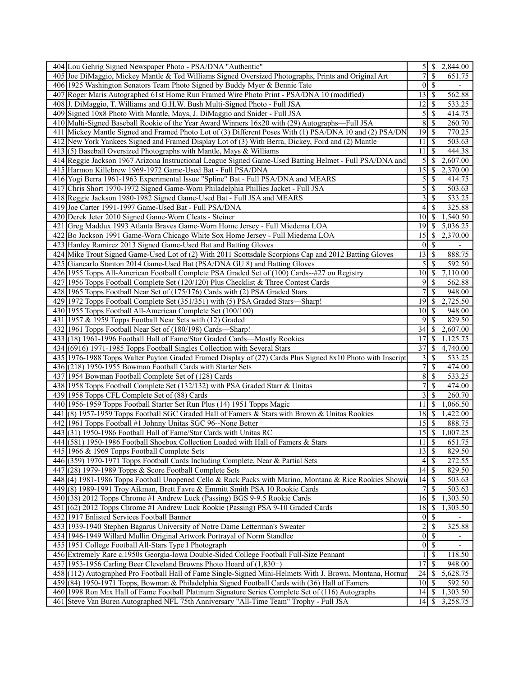| 404 Lou Gehrig Signed Newspaper Photo - PSA/DNA "Authentic"                                                                                                                             | $\overline{5}$ s<br>2,844.00                                   |
|-----------------------------------------------------------------------------------------------------------------------------------------------------------------------------------------|----------------------------------------------------------------|
| 405 Joe DiMaggio, Mickey Mantle & Ted Williams Signed Oversized Photographs, Prints and Original Art                                                                                    | \$<br>$\overline{7}$<br>651.75                                 |
| 406 1925 Washington Senators Team Photo Signed by Buddy Myer & Bennie Tate                                                                                                              | \$<br>$\overline{0}$                                           |
| 407 Roger Maris Autographed 61st Home Run Framed Wire Photo Print - PSA/DNA 10 (modified)                                                                                               | 562.88                                                         |
| 408 J. DiMaggio, T. Williams and G.H.W. Bush Multi-Signed Photo - Full JSA                                                                                                              | 12<br>$\overline{533.25}$<br>S                                 |
| 409 Signed 10x8 Photo With Mantle, Mays, J. DiMaggio and Snider - Full JSA                                                                                                              | 5<br>\$<br>414.75                                              |
| 410 Multi-Signed Baseball Rookie of the Year Award Winners 16x20 with (29) Autographs—Full JSA                                                                                          | $\,$ 8 $\,$<br>\$<br>260.70                                    |
| 411 Mickey Mantle Signed and Framed Photo Lot of (3) Different Poses With (1) PSA/DNA 10 and (2) PSA/DN                                                                                 | 770.25                                                         |
| 412 New York Yankees Signed and Framed Display Lot of (3) With Berra, Dickey, Ford and (2) Mantle                                                                                       | $11 \mid$ \$<br>503.63                                         |
| $413(5)$ Baseball Oversized Photographs with Mantle, Mays & Williams                                                                                                                    | 11<br><sup>\$</sup><br>444.38                                  |
| 414 Reggie Jackson 1967 Arizona Instructional League Signed Game-Used Batting Helmet - Full PSA/DNA and                                                                                 | 5<br>\$<br>2,607.00                                            |
| 415 Harmon Killebrew 1969-1972 Game-Used Bat - Full PSA/DNA                                                                                                                             | 15<br>\$<br>2,370.00                                           |
| 416 Yogi Berra 1961-1963 Experimental Issue "Spline" Bat - Full PSA/DNA and MEARS                                                                                                       | 5<br>\$<br>414.75                                              |
| 417 Chris Short 1970-1972 Signed Game-Worn Philadelphia Phillies Jacket - Full JSA                                                                                                      | $\mathcal{S}$<br>\$<br>503.63                                  |
| 418 Reggie Jackson 1980-1982 Signed Game-Used Bat - Full JSA and MEARS                                                                                                                  | $3$ \ $\sqrt{3}$<br>533.25                                     |
| 419 Joe Carter 1991-1997 Game-Used Bat - Full PSA/DNA                                                                                                                                   | $\overline{4}$<br>\$<br>325.88                                 |
| 420 Derek Jeter 2010 Signed Game-Worn Cleats - Steiner                                                                                                                                  | <sup>\$</sup><br>1,540.50<br>10I                               |
| 421 Greg Maddux 1993 Atlanta Braves Game-Worn Home Jersey - Full Miedema LOA                                                                                                            | 19<br><sup>\$</sup><br>5,036.25                                |
| 422 Bo Jackson 1991 Game-Worn Chicago White Sox Home Jersey - Full Miedema LOA                                                                                                          | 15<br>\$<br>2,370.00                                           |
| 423 Hanley Ramirez 2013 Signed Game-Used Bat and Batting Gloves                                                                                                                         | \$<br>01                                                       |
| 424 Mike Trout Signed Game-Used Lot of (2) With 2011 Scottsdale Scorpions Cap and 2012 Batting Gloves                                                                                   | $13 \mid$ \$<br>888.75                                         |
| 425 Giancarlo Stanton 2014 Game-Used Bat (PSA/DNA GU 8) and Batting Gloves                                                                                                              | 5 <sup>1</sup><br><sup>\$</sup><br>592.50                      |
| 426 1955 Topps All-American Football Complete PSA Graded Set of (100) Cards--#27 on Registry                                                                                            | 10 <sup>1</sup><br>\$<br>7,110.00                              |
| 427 1956 Topps Football Complete Set (120/120) Plus Checklist & Three Contest Cards                                                                                                     | 9<br><sup>\$</sup><br>562.88                                   |
| 428 1965 Topps Football Near Set of (175/176) Cards with (2) PSA Graded Stars                                                                                                           | \$<br>$\overline{\mathcal{L}}$<br>948.00                       |
| 429 1972 Topps Football Complete Set (351/351) with (5) PSA Graded Stars—Sharp!                                                                                                         | 2,725.50<br>19<br><sup>\$</sup>                                |
| 430 1955 Topps Football All-American Complete Set (100/100)                                                                                                                             | 10 <sup>1</sup><br>948.00<br>-S                                |
| 431 1957 & 1959 Topps Football Near Sets with (12) Graded                                                                                                                               | 9<br><sup>\$</sup><br>829.50                                   |
| 432 1961 Topps Football Near Set of (180/198) Cards—Sharp!                                                                                                                              | 34<br>2,607.00<br>\$                                           |
|                                                                                                                                                                                         | 17<br><sup>\$</sup>                                            |
| 433 (18) 1961-1996 Football Hall of Fame/Star Graded Cards—Mostly Rookies                                                                                                               | 1,125.75<br>37                                                 |
| 434 (6916) 1971-1985 Topps Football Singles Collection with Several Stars<br>435 1976-1988 Topps Walter Payton Graded Framed Display of (27) Cards Plus Signed 8x10 Photo with Inscript | \$<br>4,740.00                                                 |
| 436 (218) 1950-1955 Bowman Football Cards with Starter Sets                                                                                                                             | \$<br>$\overline{3}$<br>533.25<br>7<br><sup>\$</sup><br>474.00 |
|                                                                                                                                                                                         | 8                                                              |
| 437 1954 Bowman Football Complete Set of (128) Cards                                                                                                                                    | S<br>533.25<br>7                                               |
| 438 1958 Topps Football Complete Set (132/132) with PSA Graded Starr & Unitas                                                                                                           | \$<br>474.00                                                   |
| 439 1958 Topps CFL Complete Set of (88) Cards                                                                                                                                           | 3<br>S<br>260.70                                               |
| 440 1956-1959 Topps Football Starter Set Run Plus (14) 1951 Topps Magic                                                                                                                 | 11<br><sup>\$</sup><br>1,066.50                                |
| 441 (8) 1957-1959 Topps Football SGC Graded Hall of Famers & Stars with Brown & Unitas Rookies                                                                                          | 18<br>\$<br>1,422.00                                           |
| 442 1961 Topps Football #1 Johnny Unitas SGC 96--None Better                                                                                                                            | 15<br>$\mathbb{S}$<br>888.75                                   |
| 443(31) 1950-1986 Football Hall of Fame/Star Cards with Unitas RC                                                                                                                       | 15<br>\$<br>1,007.25                                           |
| 444 (581) 1950-1986 Football Shoebox Collection Loaded with Hall of Famers & Stars                                                                                                      | $11 \mid$ \$<br>651.75                                         |
| 445 1966 & 1969 Topps Football Complete Sets                                                                                                                                            | $13 \mid$ \$<br>829.50                                         |
| 446 (359) 1970-1971 Topps Football Cards Including Complete, Near & Partial Sets                                                                                                        | \$<br>272.55<br>41                                             |
| 447 (28) 1979-1989 Topps & Score Football Complete Sets                                                                                                                                 | 829.50                                                         |
| 448 (4) 1981-1986 Topps Football Unopened Cello & Rack Packs with Marino, Montana & Rice Rookies Showi                                                                                  | 503.63                                                         |
| 449 (8) 1989-1991 Troy Aikman, Brett Favre & Emmitt Smith PSA 10 Rookie Cards                                                                                                           | 7 <sup>1</sup><br><sup>\$</sup><br>503.63                      |
| 450 (38) 2012 Topps Chrome #1 Andrew Luck (Passing) BGS 9-9.5 Rookie Cards                                                                                                              | 16<br>1,303.50<br>\$                                           |
| 451 (62) 2012 Topps Chrome #1 Andrew Luck Rookie (Passing) PSA 9-10 Graded Cards                                                                                                        | 18<br>\$<br>1,303.50                                           |
| 452 1917 Enlisted Services Football Banner                                                                                                                                              | \$<br>$\overline{0}$                                           |
| 453 1939-1940 Stephen Bagarus University of Notre Dame Letterman's Sweater                                                                                                              | $\overline{2}$<br>\$<br>325.88                                 |
| 454 1946-1949 Willard Mullin Original Artwork Portrayal of Norm Standlee                                                                                                                | $0 \mid S$                                                     |
| 455 1951 College Football All-Stars Type I Photograph                                                                                                                                   | $0 \mid S$                                                     |
| 456 Extremely Rare c.1950s Georgia-Iowa Double-Sided College Football Full-Size Pennant                                                                                                 | $\mathbf{1}$<br>\$<br>118.50                                   |
| 457 1953-1956 Carling Beer Cleveland Browns Photo Hoard of (1,830+)                                                                                                                     | 17<br>\$<br>948.00                                             |
| 458 (112) Autographed Pro Football Hall of Fame Single-Signed Mini-Helmets With J. Brown, Montana, Hornur                                                                               | 24<br>5,628.75<br>\$                                           |
| 459 (84) 1950-1971 Topps, Bowman & Philadelphia Signed Football Cards with (36) Hall of Famers                                                                                          | 10<br>\$<br>592.50                                             |
| 460 1998 Ron Mix Hall of Fame Football Platinum Signature Series Complete Set of (116) Autographs                                                                                       | 14<br>1,303.50<br><sup>\$</sup>                                |
| 461 Steve Van Buren Autographed NFL 75th Anniversary "All-Time Team" Trophy - Full JSA                                                                                                  | 3,258.75<br>$14$ $\sqrt{5}$                                    |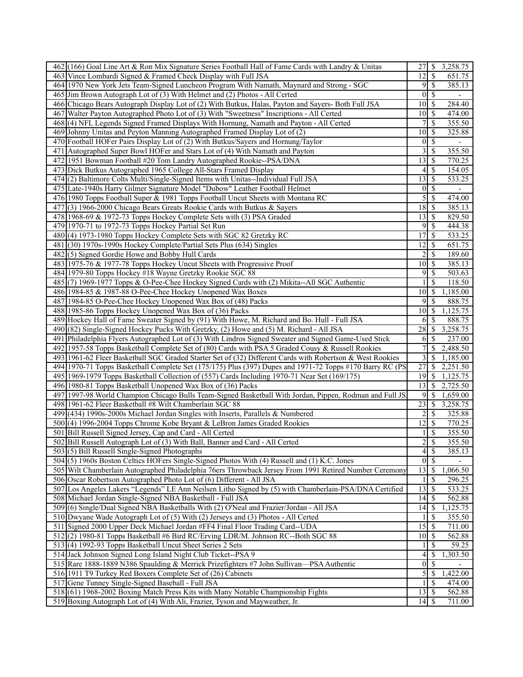| 12<br><sup>\$</sup><br>463 Vince Lombardi Signed & Framed Check Display with Full JSA<br>651.75<br>$\mathcal{S}$<br>385.13<br>464 1970 New York Jets Team-Signed Luncheon Program With Namath, Maynard and Strong - SGC<br>9<br>465 Jim Brown Autograph Lot of (3) With Helmet and (2) Photos - All Certed<br>$\theta$<br>$\mathcal{S}$<br>466 Chicago Bears Autograph Display Lot of (2) With Butkus, Halas, Payton and Sayers- Both Full JSA<br>10<br>-S<br>284.40<br>10<br>467 Walter Payton Autographed Photo Lot of (3) With "Sweetness" Inscriptions - All Certed<br>-\$<br>474.00<br>468(4) NFL Legends Signed Framed Displays With Hornung, Namath and Payton - All Certed<br>\$<br>355.50<br>7<br>469 Johnny Unitas and Peyton Manning Autographed Framed Display Lot of (2)<br><sup>\$</sup><br>325.88<br>10<br>470 Football HOFer Pairs Display Lot of (2) With Butkus/Sayers and Hornung/Taylor<br>$\mathcal{S}$<br>$\overline{0}$<br>$\blacksquare$<br><sup>\$</sup><br>355.50<br>471 Autographed Super Bowl HOFer and Stars Lot of (4) With Namath and Payton<br>3<br>\$<br>770.25<br>472 1951 Bowman Football #20 Tom Landry Autographed Rookie--PSA/DNA<br>13<br>\$<br>473 Dick Butkus Autographed 1965 College All-Stars Framed Display<br>154.05<br>4<br>474(2) Baltimore Colts Multi/Single-Signed Items with Unitas--Individual Full JSA<br>\$<br>533.25<br>13<br>$\mathcal{S}$<br>475 Late-1940s Harry Gilmer Signature Model "Dubow" Leather Football Helmet<br>$\overline{0}$<br>476 1980 Topps Football Super & 1981 Topps Football Uncut Sheets with Montana RC<br>5<br>$\mathcal{S}$<br>474.00<br>$\mathcal{S}$<br>385.13<br>477(3) 1966-2000 Chicago Bears Greats Rookie Cards with Butkus & Sayers<br>18<br>13<br>-S<br>829.50<br>478 1968-69 & 1972-73 Topps Hockey Complete Sets with (3) PSA Graded<br>479 1970-71 to 1972-73 Topps Hockey Partial Set Run<br>9<br>\$<br>444.38<br>480(4) 1973-1980 Topps Hockey Complete Sets with SGC 82 Gretzky RC<br>17<br>\$<br>533.25<br>12<br>\$<br>651.75<br>481 (30) 1970s-1990s Hockey Complete/Partial Sets Plus (634) Singles<br>482(5) Signed Gordie Howe and Bobby Hull Cards<br>\$<br>189.60<br>483 1975-76 & 1977-78 Topps Hockey Uncut Sheets with Progressive Proof<br>10<br>$\mathcal{S}$<br>385.13<br>9<br>$\mathcal{S}$<br>484 1979-80 Topps Hockey #18 Wayne Gretzky Rookie SGC 88<br>503.63<br>$\mathcal{S}$<br>118.50<br>485(7) 1969-1977 Topps & O-Pee-Chee Hockey Signed Cards with (2) Mikita--All SGC Authentic<br>486 1984-85 & 1987-88 O-Pee-Chee Hockey Unopened Wax Boxes<br>1,185.00<br>10<br>-\$<br>487 1984-85 O-Pee-Chee Hockey Unopened Wax Box of (48) Packs<br>9<br>$\mathcal{S}$<br>888.75<br>1,125.75<br>488 1985-86 Topps Hockey Unopened Wax Box of (36) Packs<br>10<br>-\$<br>888.75<br>489 Hockey Hall of Fame Sweater Signed by (91) With Howe, M. Richard and Bo. Hull - Full JSA<br>-S<br>6<br>28<br>3,258.75<br>490 (82) Single-Signed Hockey Pucks With Gretzky, (2) Howe and (5) M. Richard - All JSA<br>$\mathbb{S}$<br><sup>\$</sup><br>491 Philadelphia Flyers Autographed Lot of (3) With Lindros Signed Sweater and Signed Game-Used Stick<br>237.00<br>6<br>492 1957-58 Topps Basketball Complete Set of (80) Cards with PSA 5 Graded Cousy & Russell Rookies<br>7<br>2,488.50<br>\$<br>493 1961-62 Fleer Basketball SGC Graded Starter Set of (32) Different Cards with Robertson & West Rookies<br>3<br>$\mathbb{S}$<br>1,185.00<br>494 1970-71 Topps Basketball Complete Set (175/175) Plus (397) Dupes and 1971-72 Topps #170 Barry RC (PS<br>27<br><sup>\$</sup><br>2,251.50<br>495 1969-1979 Topps Basketball Collection of (557) Cards Including 1970-71 Near Set (169/175)<br>19<br>1,125.75<br>-S<br>496 1980-81 Topps Basketball Unopened Wax Box of (36) Packs<br>13<br>$\mathbb{S}$<br>2,725.50<br>497 1997-98 World Champion Chicago Bulls Team-Signed Basketball With Jordan, Pippen, Rodman and Full JS.<br>9<br>\$<br>1,659.00<br>498 1961-62 Fleer Basketball #8 Wilt Chamberlain SGC 88<br>23<br>\$<br>3,258.75<br>\$<br>325.88<br>499 (434) 1990s-2000s Michael Jordan Singles with Inserts, Parallels & Numbered<br>500(4) 1996-2004 Topps Chrome Kobe Bryant & LeBron James Graded Rookies<br>12<br>\$<br>770.25<br>501 Bill Russell Signed Jersey, Cap and Card - All Certed<br>\$<br>355.50<br>1<br>$\overline{2}$<br>$\overline{\$}$<br>355.50<br>502 Bill Russell Autograph Lot of (3) With Ball, Banner and Card - All Certed<br>$503(5)$ Bill Russell Single-Signed Photographs<br>$\overline{4}$<br>$\mathcal{S}$<br>385.13<br>$\overline{\mathcal{S}}$<br>504(5) 1960s Boston Celtics HOFers Single-Signed Photos With (4) Russell and (1) K.C. Jones<br>$\overline{0}$<br>505 Wilt Chamberlain Autographed Philadelphia 76ers Throwback Jersey From 1991 Retired Number Ceremony<br>13<br>$\mathcal{S}$<br>1,066.50<br>506 Oscar Robertson Autographed Photo Lot of (6) Different - All JSA<br><sup>\$</sup><br>296.25<br>13<br>533.25<br>507 Los Angeles Lakers "Legends" LE Ann Neilsen Litho Signed by (5) with Chamberlain-PSA/DNA Certified<br>\$<br>14<br>562.88<br>508 Michael Jordan Single-Signed NBA Basketball - Full JSA<br>-S<br>14<br>1,125.75<br>509 (6) Single/Dual Signed NBA Basketballs With (2) O'Neal and Frazier/Jordan - All JSA<br>\$<br>355.50<br>510 Dwyane Wade Autograph Lot of (5) With (2) Jerseys and (3) Photos - All Certed<br>\$<br>711.00<br>511 Signed 2000 Upper Deck Michael Jordan #FF4 Final Floor Trading Card--UDA<br>15<br>$\mathcal{S}$<br>512(2) 1980-81 Topps Basketball #6 Bird RC/Erving LDR/M. Johnson RC--Both SGC 88<br>10<br>- \$<br>562.88<br>59.25<br>513(4) 1992-93 Topps Basketball Uncut Sheet Series 2 Sets<br>S<br>514 Jack Johnson Signed Long Island Night Club Ticket--PSA 9<br>4<br>\$<br>1,303.50<br>515 Rare 1888-1889 N386 Spaulding & Merrick Prizefighters #7 John Sullivan—PSA Authentic<br>$\boldsymbol{0}$<br>$\mathcal{S}$<br>5<br>$\mathcal{S}$<br>1,422.00<br>516 1911 T9 Turkey Red Boxers Complete Set of (26) Cabinets<br>517 Gene Tunney Single-Signed Baseball - Full JSA<br>-S<br>474.00<br>518 (61) 1968-2002 Boxing Match Press Kits with Many Notable Championship Fights<br>  \$<br>562.88<br>13<br>519 Boxing Autograph Lot of (4) With Ali, Frazier, Tyson and Mayweather, Jr.<br>711.00 | 462 (166) Goal Line Art & Ron Mix Signature Series Football Hall of Fame Cards with Landry & Unitas | 27 | -S<br>3,258.75 |
|--------------------------------------------------------------------------------------------------------------------------------------------------------------------------------------------------------------------------------------------------------------------------------------------------------------------------------------------------------------------------------------------------------------------------------------------------------------------------------------------------------------------------------------------------------------------------------------------------------------------------------------------------------------------------------------------------------------------------------------------------------------------------------------------------------------------------------------------------------------------------------------------------------------------------------------------------------------------------------------------------------------------------------------------------------------------------------------------------------------------------------------------------------------------------------------------------------------------------------------------------------------------------------------------------------------------------------------------------------------------------------------------------------------------------------------------------------------------------------------------------------------------------------------------------------------------------------------------------------------------------------------------------------------------------------------------------------------------------------------------------------------------------------------------------------------------------------------------------------------------------------------------------------------------------------------------------------------------------------------------------------------------------------------------------------------------------------------------------------------------------------------------------------------------------------------------------------------------------------------------------------------------------------------------------------------------------------------------------------------------------------------------------------------------------------------------------------------------------------------------------------------------------------------------------------------------------------------------------------------------------------------------------------------------------------------------------------------------------------------------------------------------------------------------------------------------------------------------------------------------------------------------------------------------------------------------------------------------------------------------------------------------------------------------------------------------------------------------------------------------------------------------------------------------------------------------------------------------------------------------------------------------------------------------------------------------------------------------------------------------------------------------------------------------------------------------------------------------------------------------------------------------------------------------------------------------------------------------------------------------------------------------------------------------------------------------------------------------------------------------------------------------------------------------------------------------------------------------------------------------------------------------------------------------------------------------------------------------------------------------------------------------------------------------------------------------------------------------------------------------------------------------------------------------------------------------------------------------------------------------------------------------------------------------------------------------------------------------------------------------------------------------------------------------------------------------------------------------------------------------------------------------------------------------------------------------------------------------------------------------------------------------------------------------------------------------------------------------------------------------------------------------------------------------------------------------------------------------------------------------------------------------------------------------------------------------------------------------------------------------------------------------------------------------------------------------------------------------------------------------------------------------------------------------------------------------------------------------------------------------------------------------------------------------------------------------------------------------------------------------------------------------------------------------------------------------------------------------------------------------------------------------------------------------------------------------------------------------------------------------------------------------------------------------------------------------------------------------------------------------------------------------------------------------------------------------------------------------------------------------------------------------------------------------------------------------------------------------------------------------------------------------------------------------------------------------------------------------------------------------------------------------------------------------------------------------------------------------------------------------------------------------------------------------------------------------------------------|-----------------------------------------------------------------------------------------------------|----|----------------|
|                                                                                                                                                                                                                                                                                                                                                                                                                                                                                                                                                                                                                                                                                                                                                                                                                                                                                                                                                                                                                                                                                                                                                                                                                                                                                                                                                                                                                                                                                                                                                                                                                                                                                                                                                                                                                                                                                                                                                                                                                                                                                                                                                                                                                                                                                                                                                                                                                                                                                                                                                                                                                                                                                                                                                                                                                                                                                                                                                                                                                                                                                                                                                                                                                                                                                                                                                                                                                                                                                                                                                                                                                                                                                                                                                                                                                                                                                                                                                                                                                                                                                                                                                                                                                                                                                                                                                                                                                                                                                                                                                                                                                                                                                                                                                                                                                                                                                                                                                                                                                                                                                                                                                                                                                                                                                                                                                                                                                                                                                                                                                                                                                                                                                                                                                                                                                                                                                                                                                                                                                                                                                                                                                                                                                                                                                                                                      |                                                                                                     |    |                |
|                                                                                                                                                                                                                                                                                                                                                                                                                                                                                                                                                                                                                                                                                                                                                                                                                                                                                                                                                                                                                                                                                                                                                                                                                                                                                                                                                                                                                                                                                                                                                                                                                                                                                                                                                                                                                                                                                                                                                                                                                                                                                                                                                                                                                                                                                                                                                                                                                                                                                                                                                                                                                                                                                                                                                                                                                                                                                                                                                                                                                                                                                                                                                                                                                                                                                                                                                                                                                                                                                                                                                                                                                                                                                                                                                                                                                                                                                                                                                                                                                                                                                                                                                                                                                                                                                                                                                                                                                                                                                                                                                                                                                                                                                                                                                                                                                                                                                                                                                                                                                                                                                                                                                                                                                                                                                                                                                                                                                                                                                                                                                                                                                                                                                                                                                                                                                                                                                                                                                                                                                                                                                                                                                                                                                                                                                                                                      |                                                                                                     |    |                |
|                                                                                                                                                                                                                                                                                                                                                                                                                                                                                                                                                                                                                                                                                                                                                                                                                                                                                                                                                                                                                                                                                                                                                                                                                                                                                                                                                                                                                                                                                                                                                                                                                                                                                                                                                                                                                                                                                                                                                                                                                                                                                                                                                                                                                                                                                                                                                                                                                                                                                                                                                                                                                                                                                                                                                                                                                                                                                                                                                                                                                                                                                                                                                                                                                                                                                                                                                                                                                                                                                                                                                                                                                                                                                                                                                                                                                                                                                                                                                                                                                                                                                                                                                                                                                                                                                                                                                                                                                                                                                                                                                                                                                                                                                                                                                                                                                                                                                                                                                                                                                                                                                                                                                                                                                                                                                                                                                                                                                                                                                                                                                                                                                                                                                                                                                                                                                                                                                                                                                                                                                                                                                                                                                                                                                                                                                                                                      |                                                                                                     |    |                |
|                                                                                                                                                                                                                                                                                                                                                                                                                                                                                                                                                                                                                                                                                                                                                                                                                                                                                                                                                                                                                                                                                                                                                                                                                                                                                                                                                                                                                                                                                                                                                                                                                                                                                                                                                                                                                                                                                                                                                                                                                                                                                                                                                                                                                                                                                                                                                                                                                                                                                                                                                                                                                                                                                                                                                                                                                                                                                                                                                                                                                                                                                                                                                                                                                                                                                                                                                                                                                                                                                                                                                                                                                                                                                                                                                                                                                                                                                                                                                                                                                                                                                                                                                                                                                                                                                                                                                                                                                                                                                                                                                                                                                                                                                                                                                                                                                                                                                                                                                                                                                                                                                                                                                                                                                                                                                                                                                                                                                                                                                                                                                                                                                                                                                                                                                                                                                                                                                                                                                                                                                                                                                                                                                                                                                                                                                                                                      |                                                                                                     |    |                |
|                                                                                                                                                                                                                                                                                                                                                                                                                                                                                                                                                                                                                                                                                                                                                                                                                                                                                                                                                                                                                                                                                                                                                                                                                                                                                                                                                                                                                                                                                                                                                                                                                                                                                                                                                                                                                                                                                                                                                                                                                                                                                                                                                                                                                                                                                                                                                                                                                                                                                                                                                                                                                                                                                                                                                                                                                                                                                                                                                                                                                                                                                                                                                                                                                                                                                                                                                                                                                                                                                                                                                                                                                                                                                                                                                                                                                                                                                                                                                                                                                                                                                                                                                                                                                                                                                                                                                                                                                                                                                                                                                                                                                                                                                                                                                                                                                                                                                                                                                                                                                                                                                                                                                                                                                                                                                                                                                                                                                                                                                                                                                                                                                                                                                                                                                                                                                                                                                                                                                                                                                                                                                                                                                                                                                                                                                                                                      |                                                                                                     |    |                |
|                                                                                                                                                                                                                                                                                                                                                                                                                                                                                                                                                                                                                                                                                                                                                                                                                                                                                                                                                                                                                                                                                                                                                                                                                                                                                                                                                                                                                                                                                                                                                                                                                                                                                                                                                                                                                                                                                                                                                                                                                                                                                                                                                                                                                                                                                                                                                                                                                                                                                                                                                                                                                                                                                                                                                                                                                                                                                                                                                                                                                                                                                                                                                                                                                                                                                                                                                                                                                                                                                                                                                                                                                                                                                                                                                                                                                                                                                                                                                                                                                                                                                                                                                                                                                                                                                                                                                                                                                                                                                                                                                                                                                                                                                                                                                                                                                                                                                                                                                                                                                                                                                                                                                                                                                                                                                                                                                                                                                                                                                                                                                                                                                                                                                                                                                                                                                                                                                                                                                                                                                                                                                                                                                                                                                                                                                                                                      |                                                                                                     |    |                |
|                                                                                                                                                                                                                                                                                                                                                                                                                                                                                                                                                                                                                                                                                                                                                                                                                                                                                                                                                                                                                                                                                                                                                                                                                                                                                                                                                                                                                                                                                                                                                                                                                                                                                                                                                                                                                                                                                                                                                                                                                                                                                                                                                                                                                                                                                                                                                                                                                                                                                                                                                                                                                                                                                                                                                                                                                                                                                                                                                                                                                                                                                                                                                                                                                                                                                                                                                                                                                                                                                                                                                                                                                                                                                                                                                                                                                                                                                                                                                                                                                                                                                                                                                                                                                                                                                                                                                                                                                                                                                                                                                                                                                                                                                                                                                                                                                                                                                                                                                                                                                                                                                                                                                                                                                                                                                                                                                                                                                                                                                                                                                                                                                                                                                                                                                                                                                                                                                                                                                                                                                                                                                                                                                                                                                                                                                                                                      |                                                                                                     |    |                |
|                                                                                                                                                                                                                                                                                                                                                                                                                                                                                                                                                                                                                                                                                                                                                                                                                                                                                                                                                                                                                                                                                                                                                                                                                                                                                                                                                                                                                                                                                                                                                                                                                                                                                                                                                                                                                                                                                                                                                                                                                                                                                                                                                                                                                                                                                                                                                                                                                                                                                                                                                                                                                                                                                                                                                                                                                                                                                                                                                                                                                                                                                                                                                                                                                                                                                                                                                                                                                                                                                                                                                                                                                                                                                                                                                                                                                                                                                                                                                                                                                                                                                                                                                                                                                                                                                                                                                                                                                                                                                                                                                                                                                                                                                                                                                                                                                                                                                                                                                                                                                                                                                                                                                                                                                                                                                                                                                                                                                                                                                                                                                                                                                                                                                                                                                                                                                                                                                                                                                                                                                                                                                                                                                                                                                                                                                                                                      |                                                                                                     |    |                |
|                                                                                                                                                                                                                                                                                                                                                                                                                                                                                                                                                                                                                                                                                                                                                                                                                                                                                                                                                                                                                                                                                                                                                                                                                                                                                                                                                                                                                                                                                                                                                                                                                                                                                                                                                                                                                                                                                                                                                                                                                                                                                                                                                                                                                                                                                                                                                                                                                                                                                                                                                                                                                                                                                                                                                                                                                                                                                                                                                                                                                                                                                                                                                                                                                                                                                                                                                                                                                                                                                                                                                                                                                                                                                                                                                                                                                                                                                                                                                                                                                                                                                                                                                                                                                                                                                                                                                                                                                                                                                                                                                                                                                                                                                                                                                                                                                                                                                                                                                                                                                                                                                                                                                                                                                                                                                                                                                                                                                                                                                                                                                                                                                                                                                                                                                                                                                                                                                                                                                                                                                                                                                                                                                                                                                                                                                                                                      |                                                                                                     |    |                |
|                                                                                                                                                                                                                                                                                                                                                                                                                                                                                                                                                                                                                                                                                                                                                                                                                                                                                                                                                                                                                                                                                                                                                                                                                                                                                                                                                                                                                                                                                                                                                                                                                                                                                                                                                                                                                                                                                                                                                                                                                                                                                                                                                                                                                                                                                                                                                                                                                                                                                                                                                                                                                                                                                                                                                                                                                                                                                                                                                                                                                                                                                                                                                                                                                                                                                                                                                                                                                                                                                                                                                                                                                                                                                                                                                                                                                                                                                                                                                                                                                                                                                                                                                                                                                                                                                                                                                                                                                                                                                                                                                                                                                                                                                                                                                                                                                                                                                                                                                                                                                                                                                                                                                                                                                                                                                                                                                                                                                                                                                                                                                                                                                                                                                                                                                                                                                                                                                                                                                                                                                                                                                                                                                                                                                                                                                                                                      |                                                                                                     |    |                |
|                                                                                                                                                                                                                                                                                                                                                                                                                                                                                                                                                                                                                                                                                                                                                                                                                                                                                                                                                                                                                                                                                                                                                                                                                                                                                                                                                                                                                                                                                                                                                                                                                                                                                                                                                                                                                                                                                                                                                                                                                                                                                                                                                                                                                                                                                                                                                                                                                                                                                                                                                                                                                                                                                                                                                                                                                                                                                                                                                                                                                                                                                                                                                                                                                                                                                                                                                                                                                                                                                                                                                                                                                                                                                                                                                                                                                                                                                                                                                                                                                                                                                                                                                                                                                                                                                                                                                                                                                                                                                                                                                                                                                                                                                                                                                                                                                                                                                                                                                                                                                                                                                                                                                                                                                                                                                                                                                                                                                                                                                                                                                                                                                                                                                                                                                                                                                                                                                                                                                                                                                                                                                                                                                                                                                                                                                                                                      |                                                                                                     |    |                |
|                                                                                                                                                                                                                                                                                                                                                                                                                                                                                                                                                                                                                                                                                                                                                                                                                                                                                                                                                                                                                                                                                                                                                                                                                                                                                                                                                                                                                                                                                                                                                                                                                                                                                                                                                                                                                                                                                                                                                                                                                                                                                                                                                                                                                                                                                                                                                                                                                                                                                                                                                                                                                                                                                                                                                                                                                                                                                                                                                                                                                                                                                                                                                                                                                                                                                                                                                                                                                                                                                                                                                                                                                                                                                                                                                                                                                                                                                                                                                                                                                                                                                                                                                                                                                                                                                                                                                                                                                                                                                                                                                                                                                                                                                                                                                                                                                                                                                                                                                                                                                                                                                                                                                                                                                                                                                                                                                                                                                                                                                                                                                                                                                                                                                                                                                                                                                                                                                                                                                                                                                                                                                                                                                                                                                                                                                                                                      |                                                                                                     |    |                |
|                                                                                                                                                                                                                                                                                                                                                                                                                                                                                                                                                                                                                                                                                                                                                                                                                                                                                                                                                                                                                                                                                                                                                                                                                                                                                                                                                                                                                                                                                                                                                                                                                                                                                                                                                                                                                                                                                                                                                                                                                                                                                                                                                                                                                                                                                                                                                                                                                                                                                                                                                                                                                                                                                                                                                                                                                                                                                                                                                                                                                                                                                                                                                                                                                                                                                                                                                                                                                                                                                                                                                                                                                                                                                                                                                                                                                                                                                                                                                                                                                                                                                                                                                                                                                                                                                                                                                                                                                                                                                                                                                                                                                                                                                                                                                                                                                                                                                                                                                                                                                                                                                                                                                                                                                                                                                                                                                                                                                                                                                                                                                                                                                                                                                                                                                                                                                                                                                                                                                                                                                                                                                                                                                                                                                                                                                                                                      |                                                                                                     |    |                |
|                                                                                                                                                                                                                                                                                                                                                                                                                                                                                                                                                                                                                                                                                                                                                                                                                                                                                                                                                                                                                                                                                                                                                                                                                                                                                                                                                                                                                                                                                                                                                                                                                                                                                                                                                                                                                                                                                                                                                                                                                                                                                                                                                                                                                                                                                                                                                                                                                                                                                                                                                                                                                                                                                                                                                                                                                                                                                                                                                                                                                                                                                                                                                                                                                                                                                                                                                                                                                                                                                                                                                                                                                                                                                                                                                                                                                                                                                                                                                                                                                                                                                                                                                                                                                                                                                                                                                                                                                                                                                                                                                                                                                                                                                                                                                                                                                                                                                                                                                                                                                                                                                                                                                                                                                                                                                                                                                                                                                                                                                                                                                                                                                                                                                                                                                                                                                                                                                                                                                                                                                                                                                                                                                                                                                                                                                                                                      |                                                                                                     |    |                |
|                                                                                                                                                                                                                                                                                                                                                                                                                                                                                                                                                                                                                                                                                                                                                                                                                                                                                                                                                                                                                                                                                                                                                                                                                                                                                                                                                                                                                                                                                                                                                                                                                                                                                                                                                                                                                                                                                                                                                                                                                                                                                                                                                                                                                                                                                                                                                                                                                                                                                                                                                                                                                                                                                                                                                                                                                                                                                                                                                                                                                                                                                                                                                                                                                                                                                                                                                                                                                                                                                                                                                                                                                                                                                                                                                                                                                                                                                                                                                                                                                                                                                                                                                                                                                                                                                                                                                                                                                                                                                                                                                                                                                                                                                                                                                                                                                                                                                                                                                                                                                                                                                                                                                                                                                                                                                                                                                                                                                                                                                                                                                                                                                                                                                                                                                                                                                                                                                                                                                                                                                                                                                                                                                                                                                                                                                                                                      |                                                                                                     |    |                |
|                                                                                                                                                                                                                                                                                                                                                                                                                                                                                                                                                                                                                                                                                                                                                                                                                                                                                                                                                                                                                                                                                                                                                                                                                                                                                                                                                                                                                                                                                                                                                                                                                                                                                                                                                                                                                                                                                                                                                                                                                                                                                                                                                                                                                                                                                                                                                                                                                                                                                                                                                                                                                                                                                                                                                                                                                                                                                                                                                                                                                                                                                                                                                                                                                                                                                                                                                                                                                                                                                                                                                                                                                                                                                                                                                                                                                                                                                                                                                                                                                                                                                                                                                                                                                                                                                                                                                                                                                                                                                                                                                                                                                                                                                                                                                                                                                                                                                                                                                                                                                                                                                                                                                                                                                                                                                                                                                                                                                                                                                                                                                                                                                                                                                                                                                                                                                                                                                                                                                                                                                                                                                                                                                                                                                                                                                                                                      |                                                                                                     |    |                |
|                                                                                                                                                                                                                                                                                                                                                                                                                                                                                                                                                                                                                                                                                                                                                                                                                                                                                                                                                                                                                                                                                                                                                                                                                                                                                                                                                                                                                                                                                                                                                                                                                                                                                                                                                                                                                                                                                                                                                                                                                                                                                                                                                                                                                                                                                                                                                                                                                                                                                                                                                                                                                                                                                                                                                                                                                                                                                                                                                                                                                                                                                                                                                                                                                                                                                                                                                                                                                                                                                                                                                                                                                                                                                                                                                                                                                                                                                                                                                                                                                                                                                                                                                                                                                                                                                                                                                                                                                                                                                                                                                                                                                                                                                                                                                                                                                                                                                                                                                                                                                                                                                                                                                                                                                                                                                                                                                                                                                                                                                                                                                                                                                                                                                                                                                                                                                                                                                                                                                                                                                                                                                                                                                                                                                                                                                                                                      |                                                                                                     |    |                |
|                                                                                                                                                                                                                                                                                                                                                                                                                                                                                                                                                                                                                                                                                                                                                                                                                                                                                                                                                                                                                                                                                                                                                                                                                                                                                                                                                                                                                                                                                                                                                                                                                                                                                                                                                                                                                                                                                                                                                                                                                                                                                                                                                                                                                                                                                                                                                                                                                                                                                                                                                                                                                                                                                                                                                                                                                                                                                                                                                                                                                                                                                                                                                                                                                                                                                                                                                                                                                                                                                                                                                                                                                                                                                                                                                                                                                                                                                                                                                                                                                                                                                                                                                                                                                                                                                                                                                                                                                                                                                                                                                                                                                                                                                                                                                                                                                                                                                                                                                                                                                                                                                                                                                                                                                                                                                                                                                                                                                                                                                                                                                                                                                                                                                                                                                                                                                                                                                                                                                                                                                                                                                                                                                                                                                                                                                                                                      |                                                                                                     |    |                |
|                                                                                                                                                                                                                                                                                                                                                                                                                                                                                                                                                                                                                                                                                                                                                                                                                                                                                                                                                                                                                                                                                                                                                                                                                                                                                                                                                                                                                                                                                                                                                                                                                                                                                                                                                                                                                                                                                                                                                                                                                                                                                                                                                                                                                                                                                                                                                                                                                                                                                                                                                                                                                                                                                                                                                                                                                                                                                                                                                                                                                                                                                                                                                                                                                                                                                                                                                                                                                                                                                                                                                                                                                                                                                                                                                                                                                                                                                                                                                                                                                                                                                                                                                                                                                                                                                                                                                                                                                                                                                                                                                                                                                                                                                                                                                                                                                                                                                                                                                                                                                                                                                                                                                                                                                                                                                                                                                                                                                                                                                                                                                                                                                                                                                                                                                                                                                                                                                                                                                                                                                                                                                                                                                                                                                                                                                                                                      |                                                                                                     |    |                |
|                                                                                                                                                                                                                                                                                                                                                                                                                                                                                                                                                                                                                                                                                                                                                                                                                                                                                                                                                                                                                                                                                                                                                                                                                                                                                                                                                                                                                                                                                                                                                                                                                                                                                                                                                                                                                                                                                                                                                                                                                                                                                                                                                                                                                                                                                                                                                                                                                                                                                                                                                                                                                                                                                                                                                                                                                                                                                                                                                                                                                                                                                                                                                                                                                                                                                                                                                                                                                                                                                                                                                                                                                                                                                                                                                                                                                                                                                                                                                                                                                                                                                                                                                                                                                                                                                                                                                                                                                                                                                                                                                                                                                                                                                                                                                                                                                                                                                                                                                                                                                                                                                                                                                                                                                                                                                                                                                                                                                                                                                                                                                                                                                                                                                                                                                                                                                                                                                                                                                                                                                                                                                                                                                                                                                                                                                                                                      |                                                                                                     |    |                |
|                                                                                                                                                                                                                                                                                                                                                                                                                                                                                                                                                                                                                                                                                                                                                                                                                                                                                                                                                                                                                                                                                                                                                                                                                                                                                                                                                                                                                                                                                                                                                                                                                                                                                                                                                                                                                                                                                                                                                                                                                                                                                                                                                                                                                                                                                                                                                                                                                                                                                                                                                                                                                                                                                                                                                                                                                                                                                                                                                                                                                                                                                                                                                                                                                                                                                                                                                                                                                                                                                                                                                                                                                                                                                                                                                                                                                                                                                                                                                                                                                                                                                                                                                                                                                                                                                                                                                                                                                                                                                                                                                                                                                                                                                                                                                                                                                                                                                                                                                                                                                                                                                                                                                                                                                                                                                                                                                                                                                                                                                                                                                                                                                                                                                                                                                                                                                                                                                                                                                                                                                                                                                                                                                                                                                                                                                                                                      |                                                                                                     |    |                |
|                                                                                                                                                                                                                                                                                                                                                                                                                                                                                                                                                                                                                                                                                                                                                                                                                                                                                                                                                                                                                                                                                                                                                                                                                                                                                                                                                                                                                                                                                                                                                                                                                                                                                                                                                                                                                                                                                                                                                                                                                                                                                                                                                                                                                                                                                                                                                                                                                                                                                                                                                                                                                                                                                                                                                                                                                                                                                                                                                                                                                                                                                                                                                                                                                                                                                                                                                                                                                                                                                                                                                                                                                                                                                                                                                                                                                                                                                                                                                                                                                                                                                                                                                                                                                                                                                                                                                                                                                                                                                                                                                                                                                                                                                                                                                                                                                                                                                                                                                                                                                                                                                                                                                                                                                                                                                                                                                                                                                                                                                                                                                                                                                                                                                                                                                                                                                                                                                                                                                                                                                                                                                                                                                                                                                                                                                                                                      |                                                                                                     |    |                |
|                                                                                                                                                                                                                                                                                                                                                                                                                                                                                                                                                                                                                                                                                                                                                                                                                                                                                                                                                                                                                                                                                                                                                                                                                                                                                                                                                                                                                                                                                                                                                                                                                                                                                                                                                                                                                                                                                                                                                                                                                                                                                                                                                                                                                                                                                                                                                                                                                                                                                                                                                                                                                                                                                                                                                                                                                                                                                                                                                                                                                                                                                                                                                                                                                                                                                                                                                                                                                                                                                                                                                                                                                                                                                                                                                                                                                                                                                                                                                                                                                                                                                                                                                                                                                                                                                                                                                                                                                                                                                                                                                                                                                                                                                                                                                                                                                                                                                                                                                                                                                                                                                                                                                                                                                                                                                                                                                                                                                                                                                                                                                                                                                                                                                                                                                                                                                                                                                                                                                                                                                                                                                                                                                                                                                                                                                                                                      |                                                                                                     |    |                |
|                                                                                                                                                                                                                                                                                                                                                                                                                                                                                                                                                                                                                                                                                                                                                                                                                                                                                                                                                                                                                                                                                                                                                                                                                                                                                                                                                                                                                                                                                                                                                                                                                                                                                                                                                                                                                                                                                                                                                                                                                                                                                                                                                                                                                                                                                                                                                                                                                                                                                                                                                                                                                                                                                                                                                                                                                                                                                                                                                                                                                                                                                                                                                                                                                                                                                                                                                                                                                                                                                                                                                                                                                                                                                                                                                                                                                                                                                                                                                                                                                                                                                                                                                                                                                                                                                                                                                                                                                                                                                                                                                                                                                                                                                                                                                                                                                                                                                                                                                                                                                                                                                                                                                                                                                                                                                                                                                                                                                                                                                                                                                                                                                                                                                                                                                                                                                                                                                                                                                                                                                                                                                                                                                                                                                                                                                                                                      |                                                                                                     |    |                |
|                                                                                                                                                                                                                                                                                                                                                                                                                                                                                                                                                                                                                                                                                                                                                                                                                                                                                                                                                                                                                                                                                                                                                                                                                                                                                                                                                                                                                                                                                                                                                                                                                                                                                                                                                                                                                                                                                                                                                                                                                                                                                                                                                                                                                                                                                                                                                                                                                                                                                                                                                                                                                                                                                                                                                                                                                                                                                                                                                                                                                                                                                                                                                                                                                                                                                                                                                                                                                                                                                                                                                                                                                                                                                                                                                                                                                                                                                                                                                                                                                                                                                                                                                                                                                                                                                                                                                                                                                                                                                                                                                                                                                                                                                                                                                                                                                                                                                                                                                                                                                                                                                                                                                                                                                                                                                                                                                                                                                                                                                                                                                                                                                                                                                                                                                                                                                                                                                                                                                                                                                                                                                                                                                                                                                                                                                                                                      |                                                                                                     |    |                |
|                                                                                                                                                                                                                                                                                                                                                                                                                                                                                                                                                                                                                                                                                                                                                                                                                                                                                                                                                                                                                                                                                                                                                                                                                                                                                                                                                                                                                                                                                                                                                                                                                                                                                                                                                                                                                                                                                                                                                                                                                                                                                                                                                                                                                                                                                                                                                                                                                                                                                                                                                                                                                                                                                                                                                                                                                                                                                                                                                                                                                                                                                                                                                                                                                                                                                                                                                                                                                                                                                                                                                                                                                                                                                                                                                                                                                                                                                                                                                                                                                                                                                                                                                                                                                                                                                                                                                                                                                                                                                                                                                                                                                                                                                                                                                                                                                                                                                                                                                                                                                                                                                                                                                                                                                                                                                                                                                                                                                                                                                                                                                                                                                                                                                                                                                                                                                                                                                                                                                                                                                                                                                                                                                                                                                                                                                                                                      |                                                                                                     |    |                |
|                                                                                                                                                                                                                                                                                                                                                                                                                                                                                                                                                                                                                                                                                                                                                                                                                                                                                                                                                                                                                                                                                                                                                                                                                                                                                                                                                                                                                                                                                                                                                                                                                                                                                                                                                                                                                                                                                                                                                                                                                                                                                                                                                                                                                                                                                                                                                                                                                                                                                                                                                                                                                                                                                                                                                                                                                                                                                                                                                                                                                                                                                                                                                                                                                                                                                                                                                                                                                                                                                                                                                                                                                                                                                                                                                                                                                                                                                                                                                                                                                                                                                                                                                                                                                                                                                                                                                                                                                                                                                                                                                                                                                                                                                                                                                                                                                                                                                                                                                                                                                                                                                                                                                                                                                                                                                                                                                                                                                                                                                                                                                                                                                                                                                                                                                                                                                                                                                                                                                                                                                                                                                                                                                                                                                                                                                                                                      |                                                                                                     |    |                |
|                                                                                                                                                                                                                                                                                                                                                                                                                                                                                                                                                                                                                                                                                                                                                                                                                                                                                                                                                                                                                                                                                                                                                                                                                                                                                                                                                                                                                                                                                                                                                                                                                                                                                                                                                                                                                                                                                                                                                                                                                                                                                                                                                                                                                                                                                                                                                                                                                                                                                                                                                                                                                                                                                                                                                                                                                                                                                                                                                                                                                                                                                                                                                                                                                                                                                                                                                                                                                                                                                                                                                                                                                                                                                                                                                                                                                                                                                                                                                                                                                                                                                                                                                                                                                                                                                                                                                                                                                                                                                                                                                                                                                                                                                                                                                                                                                                                                                                                                                                                                                                                                                                                                                                                                                                                                                                                                                                                                                                                                                                                                                                                                                                                                                                                                                                                                                                                                                                                                                                                                                                                                                                                                                                                                                                                                                                                                      |                                                                                                     |    |                |
|                                                                                                                                                                                                                                                                                                                                                                                                                                                                                                                                                                                                                                                                                                                                                                                                                                                                                                                                                                                                                                                                                                                                                                                                                                                                                                                                                                                                                                                                                                                                                                                                                                                                                                                                                                                                                                                                                                                                                                                                                                                                                                                                                                                                                                                                                                                                                                                                                                                                                                                                                                                                                                                                                                                                                                                                                                                                                                                                                                                                                                                                                                                                                                                                                                                                                                                                                                                                                                                                                                                                                                                                                                                                                                                                                                                                                                                                                                                                                                                                                                                                                                                                                                                                                                                                                                                                                                                                                                                                                                                                                                                                                                                                                                                                                                                                                                                                                                                                                                                                                                                                                                                                                                                                                                                                                                                                                                                                                                                                                                                                                                                                                                                                                                                                                                                                                                                                                                                                                                                                                                                                                                                                                                                                                                                                                                                                      |                                                                                                     |    |                |
|                                                                                                                                                                                                                                                                                                                                                                                                                                                                                                                                                                                                                                                                                                                                                                                                                                                                                                                                                                                                                                                                                                                                                                                                                                                                                                                                                                                                                                                                                                                                                                                                                                                                                                                                                                                                                                                                                                                                                                                                                                                                                                                                                                                                                                                                                                                                                                                                                                                                                                                                                                                                                                                                                                                                                                                                                                                                                                                                                                                                                                                                                                                                                                                                                                                                                                                                                                                                                                                                                                                                                                                                                                                                                                                                                                                                                                                                                                                                                                                                                                                                                                                                                                                                                                                                                                                                                                                                                                                                                                                                                                                                                                                                                                                                                                                                                                                                                                                                                                                                                                                                                                                                                                                                                                                                                                                                                                                                                                                                                                                                                                                                                                                                                                                                                                                                                                                                                                                                                                                                                                                                                                                                                                                                                                                                                                                                      |                                                                                                     |    |                |
|                                                                                                                                                                                                                                                                                                                                                                                                                                                                                                                                                                                                                                                                                                                                                                                                                                                                                                                                                                                                                                                                                                                                                                                                                                                                                                                                                                                                                                                                                                                                                                                                                                                                                                                                                                                                                                                                                                                                                                                                                                                                                                                                                                                                                                                                                                                                                                                                                                                                                                                                                                                                                                                                                                                                                                                                                                                                                                                                                                                                                                                                                                                                                                                                                                                                                                                                                                                                                                                                                                                                                                                                                                                                                                                                                                                                                                                                                                                                                                                                                                                                                                                                                                                                                                                                                                                                                                                                                                                                                                                                                                                                                                                                                                                                                                                                                                                                                                                                                                                                                                                                                                                                                                                                                                                                                                                                                                                                                                                                                                                                                                                                                                                                                                                                                                                                                                                                                                                                                                                                                                                                                                                                                                                                                                                                                                                                      |                                                                                                     |    |                |
|                                                                                                                                                                                                                                                                                                                                                                                                                                                                                                                                                                                                                                                                                                                                                                                                                                                                                                                                                                                                                                                                                                                                                                                                                                                                                                                                                                                                                                                                                                                                                                                                                                                                                                                                                                                                                                                                                                                                                                                                                                                                                                                                                                                                                                                                                                                                                                                                                                                                                                                                                                                                                                                                                                                                                                                                                                                                                                                                                                                                                                                                                                                                                                                                                                                                                                                                                                                                                                                                                                                                                                                                                                                                                                                                                                                                                                                                                                                                                                                                                                                                                                                                                                                                                                                                                                                                                                                                                                                                                                                                                                                                                                                                                                                                                                                                                                                                                                                                                                                                                                                                                                                                                                                                                                                                                                                                                                                                                                                                                                                                                                                                                                                                                                                                                                                                                                                                                                                                                                                                                                                                                                                                                                                                                                                                                                                                      |                                                                                                     |    |                |
|                                                                                                                                                                                                                                                                                                                                                                                                                                                                                                                                                                                                                                                                                                                                                                                                                                                                                                                                                                                                                                                                                                                                                                                                                                                                                                                                                                                                                                                                                                                                                                                                                                                                                                                                                                                                                                                                                                                                                                                                                                                                                                                                                                                                                                                                                                                                                                                                                                                                                                                                                                                                                                                                                                                                                                                                                                                                                                                                                                                                                                                                                                                                                                                                                                                                                                                                                                                                                                                                                                                                                                                                                                                                                                                                                                                                                                                                                                                                                                                                                                                                                                                                                                                                                                                                                                                                                                                                                                                                                                                                                                                                                                                                                                                                                                                                                                                                                                                                                                                                                                                                                                                                                                                                                                                                                                                                                                                                                                                                                                                                                                                                                                                                                                                                                                                                                                                                                                                                                                                                                                                                                                                                                                                                                                                                                                                                      |                                                                                                     |    |                |
|                                                                                                                                                                                                                                                                                                                                                                                                                                                                                                                                                                                                                                                                                                                                                                                                                                                                                                                                                                                                                                                                                                                                                                                                                                                                                                                                                                                                                                                                                                                                                                                                                                                                                                                                                                                                                                                                                                                                                                                                                                                                                                                                                                                                                                                                                                                                                                                                                                                                                                                                                                                                                                                                                                                                                                                                                                                                                                                                                                                                                                                                                                                                                                                                                                                                                                                                                                                                                                                                                                                                                                                                                                                                                                                                                                                                                                                                                                                                                                                                                                                                                                                                                                                                                                                                                                                                                                                                                                                                                                                                                                                                                                                                                                                                                                                                                                                                                                                                                                                                                                                                                                                                                                                                                                                                                                                                                                                                                                                                                                                                                                                                                                                                                                                                                                                                                                                                                                                                                                                                                                                                                                                                                                                                                                                                                                                                      |                                                                                                     |    |                |
|                                                                                                                                                                                                                                                                                                                                                                                                                                                                                                                                                                                                                                                                                                                                                                                                                                                                                                                                                                                                                                                                                                                                                                                                                                                                                                                                                                                                                                                                                                                                                                                                                                                                                                                                                                                                                                                                                                                                                                                                                                                                                                                                                                                                                                                                                                                                                                                                                                                                                                                                                                                                                                                                                                                                                                                                                                                                                                                                                                                                                                                                                                                                                                                                                                                                                                                                                                                                                                                                                                                                                                                                                                                                                                                                                                                                                                                                                                                                                                                                                                                                                                                                                                                                                                                                                                                                                                                                                                                                                                                                                                                                                                                                                                                                                                                                                                                                                                                                                                                                                                                                                                                                                                                                                                                                                                                                                                                                                                                                                                                                                                                                                                                                                                                                                                                                                                                                                                                                                                                                                                                                                                                                                                                                                                                                                                                                      |                                                                                                     |    |                |
|                                                                                                                                                                                                                                                                                                                                                                                                                                                                                                                                                                                                                                                                                                                                                                                                                                                                                                                                                                                                                                                                                                                                                                                                                                                                                                                                                                                                                                                                                                                                                                                                                                                                                                                                                                                                                                                                                                                                                                                                                                                                                                                                                                                                                                                                                                                                                                                                                                                                                                                                                                                                                                                                                                                                                                                                                                                                                                                                                                                                                                                                                                                                                                                                                                                                                                                                                                                                                                                                                                                                                                                                                                                                                                                                                                                                                                                                                                                                                                                                                                                                                                                                                                                                                                                                                                                                                                                                                                                                                                                                                                                                                                                                                                                                                                                                                                                                                                                                                                                                                                                                                                                                                                                                                                                                                                                                                                                                                                                                                                                                                                                                                                                                                                                                                                                                                                                                                                                                                                                                                                                                                                                                                                                                                                                                                                                                      |                                                                                                     |    |                |
|                                                                                                                                                                                                                                                                                                                                                                                                                                                                                                                                                                                                                                                                                                                                                                                                                                                                                                                                                                                                                                                                                                                                                                                                                                                                                                                                                                                                                                                                                                                                                                                                                                                                                                                                                                                                                                                                                                                                                                                                                                                                                                                                                                                                                                                                                                                                                                                                                                                                                                                                                                                                                                                                                                                                                                                                                                                                                                                                                                                                                                                                                                                                                                                                                                                                                                                                                                                                                                                                                                                                                                                                                                                                                                                                                                                                                                                                                                                                                                                                                                                                                                                                                                                                                                                                                                                                                                                                                                                                                                                                                                                                                                                                                                                                                                                                                                                                                                                                                                                                                                                                                                                                                                                                                                                                                                                                                                                                                                                                                                                                                                                                                                                                                                                                                                                                                                                                                                                                                                                                                                                                                                                                                                                                                                                                                                                                      |                                                                                                     |    |                |
|                                                                                                                                                                                                                                                                                                                                                                                                                                                                                                                                                                                                                                                                                                                                                                                                                                                                                                                                                                                                                                                                                                                                                                                                                                                                                                                                                                                                                                                                                                                                                                                                                                                                                                                                                                                                                                                                                                                                                                                                                                                                                                                                                                                                                                                                                                                                                                                                                                                                                                                                                                                                                                                                                                                                                                                                                                                                                                                                                                                                                                                                                                                                                                                                                                                                                                                                                                                                                                                                                                                                                                                                                                                                                                                                                                                                                                                                                                                                                                                                                                                                                                                                                                                                                                                                                                                                                                                                                                                                                                                                                                                                                                                                                                                                                                                                                                                                                                                                                                                                                                                                                                                                                                                                                                                                                                                                                                                                                                                                                                                                                                                                                                                                                                                                                                                                                                                                                                                                                                                                                                                                                                                                                                                                                                                                                                                                      |                                                                                                     |    |                |
|                                                                                                                                                                                                                                                                                                                                                                                                                                                                                                                                                                                                                                                                                                                                                                                                                                                                                                                                                                                                                                                                                                                                                                                                                                                                                                                                                                                                                                                                                                                                                                                                                                                                                                                                                                                                                                                                                                                                                                                                                                                                                                                                                                                                                                                                                                                                                                                                                                                                                                                                                                                                                                                                                                                                                                                                                                                                                                                                                                                                                                                                                                                                                                                                                                                                                                                                                                                                                                                                                                                                                                                                                                                                                                                                                                                                                                                                                                                                                                                                                                                                                                                                                                                                                                                                                                                                                                                                                                                                                                                                                                                                                                                                                                                                                                                                                                                                                                                                                                                                                                                                                                                                                                                                                                                                                                                                                                                                                                                                                                                                                                                                                                                                                                                                                                                                                                                                                                                                                                                                                                                                                                                                                                                                                                                                                                                                      |                                                                                                     |    |                |
|                                                                                                                                                                                                                                                                                                                                                                                                                                                                                                                                                                                                                                                                                                                                                                                                                                                                                                                                                                                                                                                                                                                                                                                                                                                                                                                                                                                                                                                                                                                                                                                                                                                                                                                                                                                                                                                                                                                                                                                                                                                                                                                                                                                                                                                                                                                                                                                                                                                                                                                                                                                                                                                                                                                                                                                                                                                                                                                                                                                                                                                                                                                                                                                                                                                                                                                                                                                                                                                                                                                                                                                                                                                                                                                                                                                                                                                                                                                                                                                                                                                                                                                                                                                                                                                                                                                                                                                                                                                                                                                                                                                                                                                                                                                                                                                                                                                                                                                                                                                                                                                                                                                                                                                                                                                                                                                                                                                                                                                                                                                                                                                                                                                                                                                                                                                                                                                                                                                                                                                                                                                                                                                                                                                                                                                                                                                                      |                                                                                                     |    |                |
|                                                                                                                                                                                                                                                                                                                                                                                                                                                                                                                                                                                                                                                                                                                                                                                                                                                                                                                                                                                                                                                                                                                                                                                                                                                                                                                                                                                                                                                                                                                                                                                                                                                                                                                                                                                                                                                                                                                                                                                                                                                                                                                                                                                                                                                                                                                                                                                                                                                                                                                                                                                                                                                                                                                                                                                                                                                                                                                                                                                                                                                                                                                                                                                                                                                                                                                                                                                                                                                                                                                                                                                                                                                                                                                                                                                                                                                                                                                                                                                                                                                                                                                                                                                                                                                                                                                                                                                                                                                                                                                                                                                                                                                                                                                                                                                                                                                                                                                                                                                                                                                                                                                                                                                                                                                                                                                                                                                                                                                                                                                                                                                                                                                                                                                                                                                                                                                                                                                                                                                                                                                                                                                                                                                                                                                                                                                                      |                                                                                                     |    |                |
|                                                                                                                                                                                                                                                                                                                                                                                                                                                                                                                                                                                                                                                                                                                                                                                                                                                                                                                                                                                                                                                                                                                                                                                                                                                                                                                                                                                                                                                                                                                                                                                                                                                                                                                                                                                                                                                                                                                                                                                                                                                                                                                                                                                                                                                                                                                                                                                                                                                                                                                                                                                                                                                                                                                                                                                                                                                                                                                                                                                                                                                                                                                                                                                                                                                                                                                                                                                                                                                                                                                                                                                                                                                                                                                                                                                                                                                                                                                                                                                                                                                                                                                                                                                                                                                                                                                                                                                                                                                                                                                                                                                                                                                                                                                                                                                                                                                                                                                                                                                                                                                                                                                                                                                                                                                                                                                                                                                                                                                                                                                                                                                                                                                                                                                                                                                                                                                                                                                                                                                                                                                                                                                                                                                                                                                                                                                                      |                                                                                                     |    |                |
|                                                                                                                                                                                                                                                                                                                                                                                                                                                                                                                                                                                                                                                                                                                                                                                                                                                                                                                                                                                                                                                                                                                                                                                                                                                                                                                                                                                                                                                                                                                                                                                                                                                                                                                                                                                                                                                                                                                                                                                                                                                                                                                                                                                                                                                                                                                                                                                                                                                                                                                                                                                                                                                                                                                                                                                                                                                                                                                                                                                                                                                                                                                                                                                                                                                                                                                                                                                                                                                                                                                                                                                                                                                                                                                                                                                                                                                                                                                                                                                                                                                                                                                                                                                                                                                                                                                                                                                                                                                                                                                                                                                                                                                                                                                                                                                                                                                                                                                                                                                                                                                                                                                                                                                                                                                                                                                                                                                                                                                                                                                                                                                                                                                                                                                                                                                                                                                                                                                                                                                                                                                                                                                                                                                                                                                                                                                                      |                                                                                                     |    |                |
|                                                                                                                                                                                                                                                                                                                                                                                                                                                                                                                                                                                                                                                                                                                                                                                                                                                                                                                                                                                                                                                                                                                                                                                                                                                                                                                                                                                                                                                                                                                                                                                                                                                                                                                                                                                                                                                                                                                                                                                                                                                                                                                                                                                                                                                                                                                                                                                                                                                                                                                                                                                                                                                                                                                                                                                                                                                                                                                                                                                                                                                                                                                                                                                                                                                                                                                                                                                                                                                                                                                                                                                                                                                                                                                                                                                                                                                                                                                                                                                                                                                                                                                                                                                                                                                                                                                                                                                                                                                                                                                                                                                                                                                                                                                                                                                                                                                                                                                                                                                                                                                                                                                                                                                                                                                                                                                                                                                                                                                                                                                                                                                                                                                                                                                                                                                                                                                                                                                                                                                                                                                                                                                                                                                                                                                                                                                                      |                                                                                                     |    |                |
|                                                                                                                                                                                                                                                                                                                                                                                                                                                                                                                                                                                                                                                                                                                                                                                                                                                                                                                                                                                                                                                                                                                                                                                                                                                                                                                                                                                                                                                                                                                                                                                                                                                                                                                                                                                                                                                                                                                                                                                                                                                                                                                                                                                                                                                                                                                                                                                                                                                                                                                                                                                                                                                                                                                                                                                                                                                                                                                                                                                                                                                                                                                                                                                                                                                                                                                                                                                                                                                                                                                                                                                                                                                                                                                                                                                                                                                                                                                                                                                                                                                                                                                                                                                                                                                                                                                                                                                                                                                                                                                                                                                                                                                                                                                                                                                                                                                                                                                                                                                                                                                                                                                                                                                                                                                                                                                                                                                                                                                                                                                                                                                                                                                                                                                                                                                                                                                                                                                                                                                                                                                                                                                                                                                                                                                                                                                                      |                                                                                                     |    |                |
|                                                                                                                                                                                                                                                                                                                                                                                                                                                                                                                                                                                                                                                                                                                                                                                                                                                                                                                                                                                                                                                                                                                                                                                                                                                                                                                                                                                                                                                                                                                                                                                                                                                                                                                                                                                                                                                                                                                                                                                                                                                                                                                                                                                                                                                                                                                                                                                                                                                                                                                                                                                                                                                                                                                                                                                                                                                                                                                                                                                                                                                                                                                                                                                                                                                                                                                                                                                                                                                                                                                                                                                                                                                                                                                                                                                                                                                                                                                                                                                                                                                                                                                                                                                                                                                                                                                                                                                                                                                                                                                                                                                                                                                                                                                                                                                                                                                                                                                                                                                                                                                                                                                                                                                                                                                                                                                                                                                                                                                                                                                                                                                                                                                                                                                                                                                                                                                                                                                                                                                                                                                                                                                                                                                                                                                                                                                                      |                                                                                                     |    |                |
|                                                                                                                                                                                                                                                                                                                                                                                                                                                                                                                                                                                                                                                                                                                                                                                                                                                                                                                                                                                                                                                                                                                                                                                                                                                                                                                                                                                                                                                                                                                                                                                                                                                                                                                                                                                                                                                                                                                                                                                                                                                                                                                                                                                                                                                                                                                                                                                                                                                                                                                                                                                                                                                                                                                                                                                                                                                                                                                                                                                                                                                                                                                                                                                                                                                                                                                                                                                                                                                                                                                                                                                                                                                                                                                                                                                                                                                                                                                                                                                                                                                                                                                                                                                                                                                                                                                                                                                                                                                                                                                                                                                                                                                                                                                                                                                                                                                                                                                                                                                                                                                                                                                                                                                                                                                                                                                                                                                                                                                                                                                                                                                                                                                                                                                                                                                                                                                                                                                                                                                                                                                                                                                                                                                                                                                                                                                                      |                                                                                                     |    |                |
|                                                                                                                                                                                                                                                                                                                                                                                                                                                                                                                                                                                                                                                                                                                                                                                                                                                                                                                                                                                                                                                                                                                                                                                                                                                                                                                                                                                                                                                                                                                                                                                                                                                                                                                                                                                                                                                                                                                                                                                                                                                                                                                                                                                                                                                                                                                                                                                                                                                                                                                                                                                                                                                                                                                                                                                                                                                                                                                                                                                                                                                                                                                                                                                                                                                                                                                                                                                                                                                                                                                                                                                                                                                                                                                                                                                                                                                                                                                                                                                                                                                                                                                                                                                                                                                                                                                                                                                                                                                                                                                                                                                                                                                                                                                                                                                                                                                                                                                                                                                                                                                                                                                                                                                                                                                                                                                                                                                                                                                                                                                                                                                                                                                                                                                                                                                                                                                                                                                                                                                                                                                                                                                                                                                                                                                                                                                                      |                                                                                                     |    |                |
|                                                                                                                                                                                                                                                                                                                                                                                                                                                                                                                                                                                                                                                                                                                                                                                                                                                                                                                                                                                                                                                                                                                                                                                                                                                                                                                                                                                                                                                                                                                                                                                                                                                                                                                                                                                                                                                                                                                                                                                                                                                                                                                                                                                                                                                                                                                                                                                                                                                                                                                                                                                                                                                                                                                                                                                                                                                                                                                                                                                                                                                                                                                                                                                                                                                                                                                                                                                                                                                                                                                                                                                                                                                                                                                                                                                                                                                                                                                                                                                                                                                                                                                                                                                                                                                                                                                                                                                                                                                                                                                                                                                                                                                                                                                                                                                                                                                                                                                                                                                                                                                                                                                                                                                                                                                                                                                                                                                                                                                                                                                                                                                                                                                                                                                                                                                                                                                                                                                                                                                                                                                                                                                                                                                                                                                                                                                                      |                                                                                                     |    |                |
|                                                                                                                                                                                                                                                                                                                                                                                                                                                                                                                                                                                                                                                                                                                                                                                                                                                                                                                                                                                                                                                                                                                                                                                                                                                                                                                                                                                                                                                                                                                                                                                                                                                                                                                                                                                                                                                                                                                                                                                                                                                                                                                                                                                                                                                                                                                                                                                                                                                                                                                                                                                                                                                                                                                                                                                                                                                                                                                                                                                                                                                                                                                                                                                                                                                                                                                                                                                                                                                                                                                                                                                                                                                                                                                                                                                                                                                                                                                                                                                                                                                                                                                                                                                                                                                                                                                                                                                                                                                                                                                                                                                                                                                                                                                                                                                                                                                                                                                                                                                                                                                                                                                                                                                                                                                                                                                                                                                                                                                                                                                                                                                                                                                                                                                                                                                                                                                                                                                                                                                                                                                                                                                                                                                                                                                                                                                                      |                                                                                                     |    |                |
|                                                                                                                                                                                                                                                                                                                                                                                                                                                                                                                                                                                                                                                                                                                                                                                                                                                                                                                                                                                                                                                                                                                                                                                                                                                                                                                                                                                                                                                                                                                                                                                                                                                                                                                                                                                                                                                                                                                                                                                                                                                                                                                                                                                                                                                                                                                                                                                                                                                                                                                                                                                                                                                                                                                                                                                                                                                                                                                                                                                                                                                                                                                                                                                                                                                                                                                                                                                                                                                                                                                                                                                                                                                                                                                                                                                                                                                                                                                                                                                                                                                                                                                                                                                                                                                                                                                                                                                                                                                                                                                                                                                                                                                                                                                                                                                                                                                                                                                                                                                                                                                                                                                                                                                                                                                                                                                                                                                                                                                                                                                                                                                                                                                                                                                                                                                                                                                                                                                                                                                                                                                                                                                                                                                                                                                                                                                                      |                                                                                                     |    |                |
|                                                                                                                                                                                                                                                                                                                                                                                                                                                                                                                                                                                                                                                                                                                                                                                                                                                                                                                                                                                                                                                                                                                                                                                                                                                                                                                                                                                                                                                                                                                                                                                                                                                                                                                                                                                                                                                                                                                                                                                                                                                                                                                                                                                                                                                                                                                                                                                                                                                                                                                                                                                                                                                                                                                                                                                                                                                                                                                                                                                                                                                                                                                                                                                                                                                                                                                                                                                                                                                                                                                                                                                                                                                                                                                                                                                                                                                                                                                                                                                                                                                                                                                                                                                                                                                                                                                                                                                                                                                                                                                                                                                                                                                                                                                                                                                                                                                                                                                                                                                                                                                                                                                                                                                                                                                                                                                                                                                                                                                                                                                                                                                                                                                                                                                                                                                                                                                                                                                                                                                                                                                                                                                                                                                                                                                                                                                                      |                                                                                                     |    |                |
|                                                                                                                                                                                                                                                                                                                                                                                                                                                                                                                                                                                                                                                                                                                                                                                                                                                                                                                                                                                                                                                                                                                                                                                                                                                                                                                                                                                                                                                                                                                                                                                                                                                                                                                                                                                                                                                                                                                                                                                                                                                                                                                                                                                                                                                                                                                                                                                                                                                                                                                                                                                                                                                                                                                                                                                                                                                                                                                                                                                                                                                                                                                                                                                                                                                                                                                                                                                                                                                                                                                                                                                                                                                                                                                                                                                                                                                                                                                                                                                                                                                                                                                                                                                                                                                                                                                                                                                                                                                                                                                                                                                                                                                                                                                                                                                                                                                                                                                                                                                                                                                                                                                                                                                                                                                                                                                                                                                                                                                                                                                                                                                                                                                                                                                                                                                                                                                                                                                                                                                                                                                                                                                                                                                                                                                                                                                                      |                                                                                                     |    |                |
|                                                                                                                                                                                                                                                                                                                                                                                                                                                                                                                                                                                                                                                                                                                                                                                                                                                                                                                                                                                                                                                                                                                                                                                                                                                                                                                                                                                                                                                                                                                                                                                                                                                                                                                                                                                                                                                                                                                                                                                                                                                                                                                                                                                                                                                                                                                                                                                                                                                                                                                                                                                                                                                                                                                                                                                                                                                                                                                                                                                                                                                                                                                                                                                                                                                                                                                                                                                                                                                                                                                                                                                                                                                                                                                                                                                                                                                                                                                                                                                                                                                                                                                                                                                                                                                                                                                                                                                                                                                                                                                                                                                                                                                                                                                                                                                                                                                                                                                                                                                                                                                                                                                                                                                                                                                                                                                                                                                                                                                                                                                                                                                                                                                                                                                                                                                                                                                                                                                                                                                                                                                                                                                                                                                                                                                                                                                                      |                                                                                                     |    |                |
|                                                                                                                                                                                                                                                                                                                                                                                                                                                                                                                                                                                                                                                                                                                                                                                                                                                                                                                                                                                                                                                                                                                                                                                                                                                                                                                                                                                                                                                                                                                                                                                                                                                                                                                                                                                                                                                                                                                                                                                                                                                                                                                                                                                                                                                                                                                                                                                                                                                                                                                                                                                                                                                                                                                                                                                                                                                                                                                                                                                                                                                                                                                                                                                                                                                                                                                                                                                                                                                                                                                                                                                                                                                                                                                                                                                                                                                                                                                                                                                                                                                                                                                                                                                                                                                                                                                                                                                                                                                                                                                                                                                                                                                                                                                                                                                                                                                                                                                                                                                                                                                                                                                                                                                                                                                                                                                                                                                                                                                                                                                                                                                                                                                                                                                                                                                                                                                                                                                                                                                                                                                                                                                                                                                                                                                                                                                                      |                                                                                                     |    |                |
|                                                                                                                                                                                                                                                                                                                                                                                                                                                                                                                                                                                                                                                                                                                                                                                                                                                                                                                                                                                                                                                                                                                                                                                                                                                                                                                                                                                                                                                                                                                                                                                                                                                                                                                                                                                                                                                                                                                                                                                                                                                                                                                                                                                                                                                                                                                                                                                                                                                                                                                                                                                                                                                                                                                                                                                                                                                                                                                                                                                                                                                                                                                                                                                                                                                                                                                                                                                                                                                                                                                                                                                                                                                                                                                                                                                                                                                                                                                                                                                                                                                                                                                                                                                                                                                                                                                                                                                                                                                                                                                                                                                                                                                                                                                                                                                                                                                                                                                                                                                                                                                                                                                                                                                                                                                                                                                                                                                                                                                                                                                                                                                                                                                                                                                                                                                                                                                                                                                                                                                                                                                                                                                                                                                                                                                                                                                                      |                                                                                                     |    |                |
|                                                                                                                                                                                                                                                                                                                                                                                                                                                                                                                                                                                                                                                                                                                                                                                                                                                                                                                                                                                                                                                                                                                                                                                                                                                                                                                                                                                                                                                                                                                                                                                                                                                                                                                                                                                                                                                                                                                                                                                                                                                                                                                                                                                                                                                                                                                                                                                                                                                                                                                                                                                                                                                                                                                                                                                                                                                                                                                                                                                                                                                                                                                                                                                                                                                                                                                                                                                                                                                                                                                                                                                                                                                                                                                                                                                                                                                                                                                                                                                                                                                                                                                                                                                                                                                                                                                                                                                                                                                                                                                                                                                                                                                                                                                                                                                                                                                                                                                                                                                                                                                                                                                                                                                                                                                                                                                                                                                                                                                                                                                                                                                                                                                                                                                                                                                                                                                                                                                                                                                                                                                                                                                                                                                                                                                                                                                                      |                                                                                                     |    |                |
|                                                                                                                                                                                                                                                                                                                                                                                                                                                                                                                                                                                                                                                                                                                                                                                                                                                                                                                                                                                                                                                                                                                                                                                                                                                                                                                                                                                                                                                                                                                                                                                                                                                                                                                                                                                                                                                                                                                                                                                                                                                                                                                                                                                                                                                                                                                                                                                                                                                                                                                                                                                                                                                                                                                                                                                                                                                                                                                                                                                                                                                                                                                                                                                                                                                                                                                                                                                                                                                                                                                                                                                                                                                                                                                                                                                                                                                                                                                                                                                                                                                                                                                                                                                                                                                                                                                                                                                                                                                                                                                                                                                                                                                                                                                                                                                                                                                                                                                                                                                                                                                                                                                                                                                                                                                                                                                                                                                                                                                                                                                                                                                                                                                                                                                                                                                                                                                                                                                                                                                                                                                                                                                                                                                                                                                                                                                                      |                                                                                                     |    |                |
|                                                                                                                                                                                                                                                                                                                                                                                                                                                                                                                                                                                                                                                                                                                                                                                                                                                                                                                                                                                                                                                                                                                                                                                                                                                                                                                                                                                                                                                                                                                                                                                                                                                                                                                                                                                                                                                                                                                                                                                                                                                                                                                                                                                                                                                                                                                                                                                                                                                                                                                                                                                                                                                                                                                                                                                                                                                                                                                                                                                                                                                                                                                                                                                                                                                                                                                                                                                                                                                                                                                                                                                                                                                                                                                                                                                                                                                                                                                                                                                                                                                                                                                                                                                                                                                                                                                                                                                                                                                                                                                                                                                                                                                                                                                                                                                                                                                                                                                                                                                                                                                                                                                                                                                                                                                                                                                                                                                                                                                                                                                                                                                                                                                                                                                                                                                                                                                                                                                                                                                                                                                                                                                                                                                                                                                                                                                                      |                                                                                                     |    |                |
|                                                                                                                                                                                                                                                                                                                                                                                                                                                                                                                                                                                                                                                                                                                                                                                                                                                                                                                                                                                                                                                                                                                                                                                                                                                                                                                                                                                                                                                                                                                                                                                                                                                                                                                                                                                                                                                                                                                                                                                                                                                                                                                                                                                                                                                                                                                                                                                                                                                                                                                                                                                                                                                                                                                                                                                                                                                                                                                                                                                                                                                                                                                                                                                                                                                                                                                                                                                                                                                                                                                                                                                                                                                                                                                                                                                                                                                                                                                                                                                                                                                                                                                                                                                                                                                                                                                                                                                                                                                                                                                                                                                                                                                                                                                                                                                                                                                                                                                                                                                                                                                                                                                                                                                                                                                                                                                                                                                                                                                                                                                                                                                                                                                                                                                                                                                                                                                                                                                                                                                                                                                                                                                                                                                                                                                                                                                                      |                                                                                                     |    |                |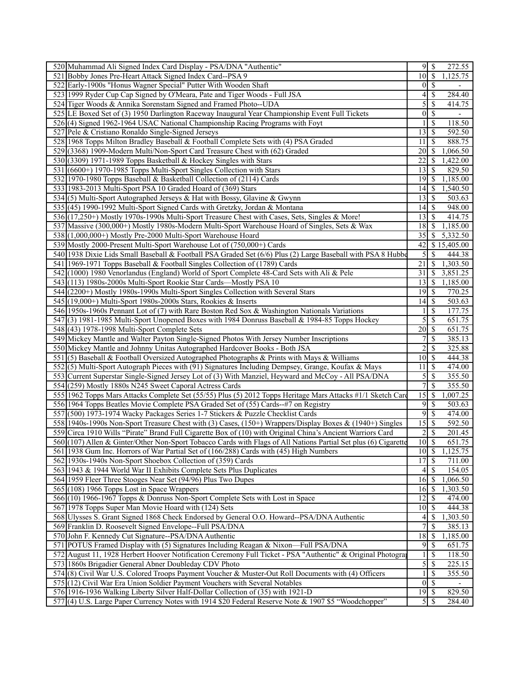| 520 Muhammad Ali Signed Index Card Display - PSA/DNA "Authentic"                                                                                                                        |                     | 272.55                                |
|-----------------------------------------------------------------------------------------------------------------------------------------------------------------------------------------|---------------------|---------------------------------------|
| 521 Bobby Jones Pre-Heart Attack Signed Index Card--PSA 9                                                                                                                               | 10                  | $\mathcal{S}$<br>1,125.75             |
| 522 Early-1900s "Honus Wagner Special" Putter With Wooden Shaft                                                                                                                         | $0\vert S$          | $\overline{\phantom{0}}$              |
| 523 1999 Ryder Cup Cap Signed by O'Meara, Pate and Tiger Woods - Full JSA                                                                                                               | 4                   | \$<br>284.40                          |
| 524 Tiger Woods & Annika Sorenstam Signed and Framed Photo--UDA                                                                                                                         | 5                   | <sup>\$</sup><br>414.75               |
| 525 LE Boxed Set of (3) 1950 Darlington Raceway Inaugural Year Championship Event Full Tickets                                                                                          | $\overline{0}$      | -\$                                   |
| 526(4) Signed 1962-1964 USAC National Championship Racing Programs with Foyt                                                                                                            |                     | \$<br>118.50                          |
| 527 Pele & Cristiano Ronaldo Single-Signed Jerseys                                                                                                                                      | 13                  | \$<br>592.50                          |
| 528 1968 Topps Milton Bradley Baseball & Football Complete Sets with (4) PSA Graded                                                                                                     | 11                  | -S<br>888.75                          |
| 529 (3368) 1909-Modern Multi/Non-Sport Card Treasure Chest with (62) Graded                                                                                                             | 20                  | \$<br>1,066.50                        |
| 530 (3309) 1971-1989 Topps Basketball & Hockey Singles with Stars                                                                                                                       | 22                  | 1,422.00<br>S                         |
| 531 (6600+) 1970-1985 Topps Multi-Sport Singles Collection with Stars                                                                                                                   | 13                  | 829.50<br>-S                          |
| 532 1970-1980 Topps Baseball & Basketball Collection of (2114) Cards                                                                                                                    | 19                  | 1,185.00<br>$\boldsymbol{\mathsf{S}}$ |
| 533 1983-2013 Multi-Sport PSA 10 Graded Hoard of (369) Stars                                                                                                                            | 14 S                | 1,540.50                              |
| 534(5) Multi-Sport Autographed Jerseys & Hat with Bossy, Glavine & Gwynn                                                                                                                | $13$ $\sqrt{5}$     | 503.63                                |
| 535 (45) 1990-1992 Multi-Sport Signed Cards with Gretzky, Jordan & Montana                                                                                                              |                     | 948.00                                |
|                                                                                                                                                                                         |                     | 414.75<br>-S                          |
| 536 (17,250+) Mostly 1970s-1990s Multi-Sport Treasure Chest with Cases, Sets, Singles & More!                                                                                           | 13                  |                                       |
| 537 Massive (300,000+) Mostly 1980s-Modern Multi-Sport Warehouse Hoard of Singles, Sets & Wax                                                                                           | 18                  | 1,185.00<br>-S                        |
| 538 (1,000,000+) Mostly Pre-2000 Multi-Sport Warehouse Hoard                                                                                                                            | 35                  | 5,332.50<br>S                         |
| 539 Mostly 2000-Present Multi-Sport Warehouse Lot of (750,000+) Cards                                                                                                                   | 42                  | \$15,405.00                           |
| 540 1938 Dixie Lids Small Baseball & Football PSA Graded Set (6/6) Plus (2) Large Baseball with PSA 8 Hubbe                                                                             | 5                   | <sup>\$</sup><br>444.38               |
| 541 1969-1971 Topps Baseball & Football Singles Collection of (1789) Cards                                                                                                              | 21                  | \$<br>1,303.50                        |
| 542 (1000) 1980 Venorlandus (England) World of Sport Complete 48-Card Sets with Ali & Pele                                                                                              | 31                  | $\boldsymbol{\mathsf{S}}$<br>3,851.25 |
| 543 (113) 1980s-2000s Multi-Sport Rookie Star Cards—Mostly PSA 10                                                                                                                       | 13                  | \$<br>1,185.00                        |
| 544 (2200+) Mostly 1980s-1990s Multi-Sport Singles Collection with Several Stars                                                                                                        | 19                  | 770.25<br>\$                          |
| 545 (19,000+) Multi-Sport 1980s-2000s Stars, Rookies & Inserts                                                                                                                          |                     | 503.63                                |
| 546 1950s-1960s Pennant Lot of (7) with Rare Boston Red Sox & Washington Nationals Variations                                                                                           |                     | <sup>\$</sup><br>177.75               |
| 547(3) 1981-1985 Multi-Sport Unopened Boxes with 1984 Donruss Baseball & 1984-85 Topps Hockey                                                                                           | 5                   | 651.75<br>\$                          |
| 548 (43) 1978-1998 Multi-Sport Complete Sets                                                                                                                                            | 20                  | $\mathcal{S}$<br>651.75               |
| 549 Mickey Mantle and Walter Payton Single-Signed Photos With Jersey Number Inscriptions                                                                                                | 7                   | $\mathbb{S}$<br>385.13                |
|                                                                                                                                                                                         |                     |                                       |
| 550 Mickey Mantle and Johnny Unitas Autographed Hardcover Books - Both JSA                                                                                                              | $\overline{2}$      | 325.88<br>\$                          |
| 551 $(5)$ Baseball & Football Oversized Autographed Photographs & Prints with Mays & Williams                                                                                           | $10 \mid$ \$        | 444.38                                |
| 552(5) Multi-Sport Autograph Pieces with (91) Signatures Including Dempsey, Grange, Koufax & Mays                                                                                       | 11                  | $\boldsymbol{\mathsf{S}}$<br>474.00   |
|                                                                                                                                                                                         | 5                   | $\boldsymbol{\mathsf{S}}$<br>355.50   |
| 553 Current Superstar Single-Signed Jersey Lot of (3) With Manziel, Heyward and McCoy - All PSA/DNA                                                                                     | 7                   | \$                                    |
| 554 (259) Mostly 1880s N245 Sweet Caporal Actress Cards                                                                                                                                 |                     | 355.50                                |
| 555 1962 Topps Mars Attacks Complete Set (55/55) Plus (5) 2012 Topps Heritage Mars Attacks #1/1 Sketch Card                                                                             | 15                  | 1,007.25<br>-S                        |
| 556 1964 Topps Beatles Movie Complete PSA Graded Set of (55) Cards--#7 on Registry                                                                                                      | $9$ $\sqrt{3}$<br>9 | 503.63                                |
| 557 (500) 1973-1974 Wacky Packages Series 1-7 Stickers & Puzzle Checklist Cards                                                                                                         |                     | \$<br>474.00                          |
| 558 1940s-1990s Non-Sport Treasure Chest with (3) Cases, (150+) Wrappers/Display Boxes & (1940+) Singles                                                                                | 15                  | $\mathbf{\$}$<br>592.50               |
| 559 Circa 1910 Wills "Pirate" Brand Full Cigarette Box of (10) with Original China's Ancient Warriors Card                                                                              | 2                   | $\mathbb{S}$<br>201.45                |
| 560 (107) Allen & Ginter/Other Non-Sport Tobacco Cards with Flags of All Nations Partial Set plus (6) Cigarette                                                                         | $10\sqrt{5}$        | 651.75                                |
| 561 1938 Gum Inc. Horrors of War Partial Set of (166/288) Cards with (45) High Numbers                                                                                                  | $10 \mid$ \$        | 1,125.75                              |
| 562 1930s-1940s Non-Sport Shoebox Collection of (359) Cards                                                                                                                             | 17                  | $\mathcal{S}$<br>711.00               |
| 563 1943 & 1944 World War II Exhibits Complete Sets Plus Duplicates                                                                                                                     |                     | 154.05                                |
| 564 1959 Fleer Three Stooges Near Set (94/96) Plus Two Dupes                                                                                                                            | $16$ $\sqrt{ }$     | 1,066.50                              |
| $565(108)$ 1966 Topps Lost in Space Wrappers                                                                                                                                            | $16$ \$             | 1,303.50                              |
| 566 (10) 1966-1967 Topps & Donruss Non-Sport Complete Sets with Lost in Space                                                                                                           | 12                  | -S<br>474.00                          |
| 567 1978 Topps Super Man Movie Hoard with (124) Sets                                                                                                                                    | $10$ $\sqrt{5}$     | 444.38                                |
| 568 Ulysses S. Grant Signed 1868 Check Endorsed by General O.O. Howard--PSA/DNA Authentic                                                                                               | 4                   | 1,303.50<br>-\$                       |
| 569 Franklin D. Roosevelt Signed Envelope--Full PSA/DNA                                                                                                                                 | $\overline{7}$      | 385.13<br><sup>\$</sup>               |
| 570 John F. Kennedy Cut Signature--PSA/DNA Authentic                                                                                                                                    | 18                  | $\mathcal{S}$<br>1,185.00             |
| 571 POTUS Framed Display with (5) Signatures Including Reagan & Nixon-Full PSA/DNA                                                                                                      | 9                   | -S<br>651.75                          |
| 572 August 11, 1928 Herbert Hoover Notification Ceremony Full Ticket - PSA "Authentic" & Original Photogra                                                                              |                     | -S<br>118.50                          |
| 573 1860s Brigadier General Abner Doubleday CDV Photo                                                                                                                                   | 5                   | 225.15<br>$\mathbb{S}$                |
| 574(8) Civil War U.S. Colored Troops Payment Voucher & Muster-Out Roll Documents with (4) Officers                                                                                      | 1                   | <sup>\$</sup><br>355.50               |
| 575 (12) Civil War Era Union Soldier Payment Vouchers with Several Notables                                                                                                             | $\overline{0}$      | \$<br>$\overline{\phantom{0}}$        |
| 576 1916-1936 Walking Liberty Silver Half-Dollar Collection of (35) with 1921-D<br>577 (4) U.S. Large Paper Currency Notes with 1914 \$20 Federal Reserve Note & 1907 \$5 "Woodchopper" | 5S                  | 829.50<br>284.40                      |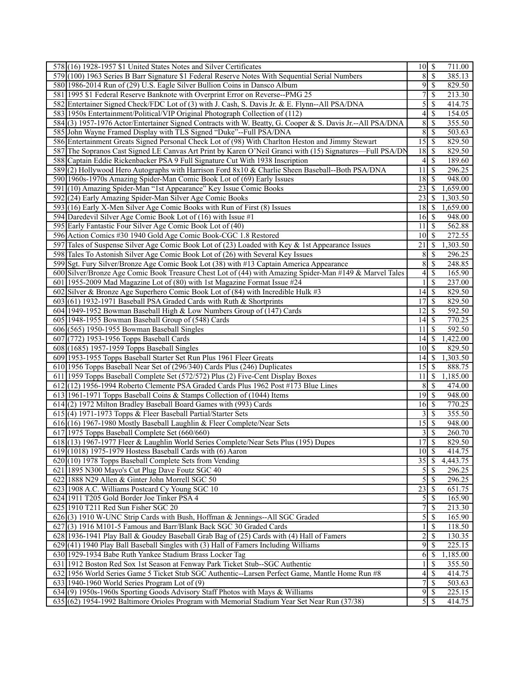| 578 (16) 1928-1957 \$1 United States Notes and Silver Certificates                                        | $\overline{10}$ \$ | 711.00                              |
|-----------------------------------------------------------------------------------------------------------|--------------------|-------------------------------------|
| 579 (100) 1963 Series B Barr Signature \$1 Federal Reserve Notes With Sequential Serial Numbers           | 8                  | -\$<br>385.13                       |
| 580 1986-2014 Run of (29) U.S. Eagle Silver Bullion Coins in Dansco Album                                 | 95                 | 829.50                              |
| 581 1995 \$1 Federal Reserve Banknote with Overprint Error on Reverse--PMG 25                             | 7                  | \$<br>213.30                        |
| 582 Entertainer Signed Check/FDC Lot of (3) with J. Cash, S. Davis Jr. & E. Flynn--All PSA/DNA            | 5                  | 414.75<br>\$                        |
| 583 1950s Entertainment/Political/VIP Original Photograph Collection of (112)                             | 4                  | $\mathbf{\$}$<br>154.05             |
| 584(3) 1957-1976 Actor/Entertainer Signed Contracts with W. Beatty, G. Cooper & S. Davis Jr.--All PSA/DNA | $\,$ 8 $\,$        | <sup>\$</sup><br>355.50             |
| 585 John Wayne Framed Display with TLS Signed "Duke"--Full PSA/DNA                                        | 8                  | 503.63<br>\$                        |
| 586 Entertainment Greats Signed Personal Check Lot of (98) With Charlton Heston and Jimmy Stewart         | 15                 | l \$<br>829.50                      |
| 587 The Sopranos Cast Signed LE Canvas Art Print by Karen O'Neil Granci with (15) Signatures—Full PSA/DN  | 18                 | 829.50<br>-\$                       |
|                                                                                                           |                    | $\mathbb{S}$                        |
| 588 Captain Eddie Rickenbacker PSA 9 Full Signature Cut With 1938 Inscription                             | 4                  | 189.60                              |
| 589(2) Hollywood Hero Autographs with Harrison Ford 8x10 & Charlie Sheen Baseball--Both PSA/DNA           | 11                 | 296.25<br>-\$                       |
| 590 1960s-1970s Amazing Spider-Man Comic Book Lot of (69) Early Issues                                    | 18                 | 948.00<br>-S                        |
| 591 (10) Amazing Spider-Man "1st Appearance" Key Issue Comic Books                                        | 23                 | 1,659.00<br>-S                      |
| 592 (24) Early Amazing Spider-Man Silver Age Comic Books                                                  | 23                 | 1,303.50<br>-S                      |
| 593 (16) Early X-Men Silver Age Comic Books with Run of First (8) Issues                                  |                    | 1,659.00                            |
| 594 Daredevil Silver Age Comic Book Lot of (16) with Issue #1                                             | $16 \mid$ \$       | 948.00                              |
| 595 Early Fantastic Four Silver Age Comic Book Lot of (40)                                                | 11                 | 562.88<br>$\boldsymbol{\mathsf{S}}$ |
| 596 Action Comics #30 1940 Gold Age Comic Book-CGC 1.8 Restored                                           | 10                 | l \$<br>272.55                      |
| 597 Tales of Suspense Silver Age Comic Book Lot of (23) Loaded with Key & 1st Appearance Issues           | 21                 | 1,303.50<br>-\$                     |
| 598 Tales To Astonish Silver Age Comic Book Lot of (26) with Several Key Issues                           | 8                  | $\mathbf{\$}$<br>296.25             |
| 599 Sgt. Fury Silver/Bronze Age Comic Book Lot (38) with #13 Captain America Appearance                   | 8                  | \$<br>248.85                        |
| 600 Silver/Bronze Age Comic Book Treasure Chest Lot of (44) with Amazing Spider-Man #149 & Marvel Tales   | 4                  | \$<br>165.90                        |
| 601 1955-2009 Mad Magazine Lot of (80) with 1st Magazine Format Issue #24                                 | 1                  | <sup>\$</sup><br>237.00             |
| 602 Silver & Bronze Age Superhero Comic Book Lot of (84) with Incredible Hulk #3                          | 14                 | $\mathcal{S}$<br>829.50             |
| $603(61)$ 1932-1971 Baseball PSA Graded Cards with Ruth & Shortprints                                     | 17                 | 829.50<br>$\mathbf{\$}$             |
| 604 1949-1952 Bowman Baseball High & Low Numbers Group of (147) Cards                                     | 12                 | $\overline{592.50}$<br>-S           |
| 605 1948-1955 Bowman Baseball Group of (548) Cards                                                        | 14                 | 770.25<br>$\boldsymbol{\mathsf{S}}$ |
| 606 (565) 1950-1955 Bowman Baseball Singles                                                               | 11                 | 592.50<br><sup>\$</sup>             |
|                                                                                                           |                    |                                     |
| 607 (772) 1953-1956 Topps Baseball Cards                                                                  | $14$ $\sqrt{5}$    | 1,422.00                            |
| 608 (1685) 1957-1959 Topps Baseball Singles                                                               | 10                 | 829.50<br>-S                        |
| 609 1953-1955 Topps Baseball Starter Set Run Plus 1961 Fleer Greats                                       | $14$ $\sqrt{5}$    | 1,303.50                            |
| 610 1956 Topps Baseball Near Set of (296/340) Cards Plus (246) Duplicates                                 | $15$ $\sigma$      | 888.75                              |
| 611 1959 Topps Baseball Complete Set (572/572) Plus (2) Five-Cent Display Boxes                           | 11                 | $\mathbb{S}$<br>1,185.00            |
| 612 (12) 1956-1994 Roberto Clemente PSA Graded Cards Plus 1962 Post #173 Blue Lines                       | 8                  | $\mathcal{S}$<br>474.00             |
| 613 1961-1971 Topps Baseball Coins & Stamps Collection of (1044) Items                                    | $\overline{19}$ \$ | 948.00                              |
| 614(2) 1972 Milton Bradley Baseball Board Games with (993) Cards                                          | 16                 | 770.25<br>  \$                      |
| $615(4)$ 1971-1973 Topps & Fleer Baseball Partial/Starter Sets                                            | $3$ \ $\sqrt{3}$   | 355.50                              |
| 616 (16) 1967-1980 Mostly Baseball Laughlin & Fleer Complete/Near Sets                                    | 15S                | 948.00                              |
| 617 1975 Topps Baseball Complete Set (660/660)                                                            | 3                  | $\mathbb{S}$<br>260.70              |
| 618 (13) 1967-1977 Fleer & Laughlin World Series Complete/Near Sets Plus (195) Dupes                      | 17S                | 829.50                              |
| $619(1018)$ 1975-1979 Hostess Baseball Cards with $(6)$ Aaron                                             | $10 \mid$ \$       | 414.75                              |
| 620 (10) 1978 Topps Baseball Complete Sets from Vending                                                   | 35                 | $\mathcal{S}$<br>4,443.75           |
| 621 1895 N300 Mayo's Cut Plug Dave Foutz SGC 40                                                           | $5\sqrt{3}$        | 296.25                              |
| 622 1888 N29 Allen & Ginter John Morrell SGC 50                                                           | 5                  | $\mathbf{\$}$<br>296.25             |
| 623 1908 A.C. Williams Postcard Cy Young SGC 10                                                           | 23                 | 651.75<br>$\boldsymbol{\mathsf{S}}$ |
| 624 1911 T205 Gold Border Joe Tinker PSA 4                                                                | $\overline{5}$     | 165.90<br>-S                        |
| 625 1910 T211 Red Sun Fisher SGC 20                                                                       | $\overline{7}$     | $\mathbf{\$}$<br>213.30             |
| 626(3) 1910 W-UNC Strip Cards with Bush, Hoffman & Jennings--All SGC Graded                               | 5                  | 165.90<br>-\$                       |
| 627(3) 1916 M101-5 Famous and Barr/Blank Back SGC 30 Graded Cards                                         | 1                  | 118.50<br>$\mathcal{S}$             |
| 628 1936-1941 Play Ball & Goudey Baseball Grab Bag of (25) Cards with (4) Hall of Famers                  | $\overline{c}$     | \$<br>130.35                        |
| 629 (41) 1940 Play Ball Baseball Singles with (3) Hall of Famers Including Williams                       | 9                  | 225.15<br><sup>\$</sup>             |
| 630 1929-1934 Babe Ruth Yankee Stadium Brass Locker Tag                                                   | 6                  | 1,185.00<br>\$                      |
| 631 1912 Boston Red Sox 1st Season at Fenway Park Ticket Stub--SGC Authentic                              |                    | <sup>\$</sup><br>355.50             |
| 632 1956 World Series Game 5 Ticket Stub SGC Authentic--Larsen Perfect Game, Mantle Home Run #8           | 4                  | 414.75<br>-\$                       |
| $633 1940-1960$ World Series Program Lot of $(9)$                                                         | $\overline{7}$     | 503.63<br>$\mathcal{S}$             |
| 634(9) 1950s-1960s Sporting Goods Advisory Staff Photos with Mays & Williams                              | 9S                 | 225.15                              |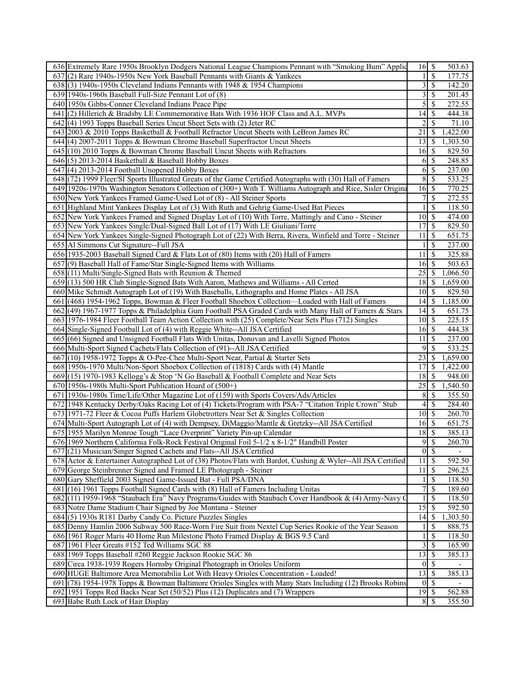| 636 Extremely Rare 1950s Brooklyn Dodgers National League Champions Pennant with "Smoking Bum" Applic        | \$<br>16                             | 503.63   |
|--------------------------------------------------------------------------------------------------------------|--------------------------------------|----------|
| 637(2) Rare 1940s-1950s New York Baseball Pennants with Giants & Yankees                                     | $\overline{\mathcal{S}}$<br>11       | 177.75   |
| 638(3) 1940s-1950s Cleveland Indians Pennants with 1948 & 1954 Champions                                     | $3 \overline{\smash{)}8}$            | 142.20   |
| 639 1940s-1960s Baseball Full-Size Pennant Lot of (8)                                                        | 3<br>\$                              | 201.45   |
| 640 1950s Gibbs-Conner Cleveland Indians Peace Pipe                                                          | 5<br>\$                              | 272.55   |
| 641 (2) Hillerich & Bradsby LE Commemorative Bats With 1936 HOF Class and A.L. MVPs                          | 14<br>\$                             | 444.38   |
| 642(4) 1993 Topps Baseball Series Uncut Sheet Sets with (2) Jeter RC                                         | \$<br>2                              | 71.10    |
| 643 2003 & 2010 Topps Basketball & Football Refractor Uncut Sheets with LeBron James RC                      | 21<br>\$                             | 1,422.00 |
| 644 (4) 2007-2011 Topps & Bowman Chrome Baseball Superfractor Uncut Sheets                                   | l \$<br>13                           | 1,303.50 |
| $645$ (10) 2010 Topps & Bowman Chrome Baseball Uncut Sheets with Refractors                                  | <sup>\$</sup><br>16 <sup> </sup>     | 829.50   |
| $646(5)$ 2013-2014 Basketball & Baseball Hobby Boxes                                                         | \$<br>61                             | 248.85   |
| 647(4) 2013-2014 Football Unopened Hobby Boxes                                                               | 6<br>\$                              | 237.00   |
| 648 (72) 1999 Fleer/SI Sports Illustrated Greats of the Game Certified Autographs with (30) Hall of Famers   | 8S                                   | 533.25   |
| 649 1920s-1970s Washington Senators Collection of (300+) With T. Williams Autograph and Rice, Sisler Origina | 16<br><sup>\$</sup>                  | 770.25   |
| 650 New York Yankees Framed Game-Used Lot of (8) - All Steiner Sports                                        | $7\vert$<br>$\overline{\mathcal{S}}$ | 272.55   |
| 651 Highland Mint Yankees Display Lot of (3) With Ruth and Gehrig Game-Used Bat Pieces                       | \$                                   | 118.50   |
| 652 New York Yankees Framed and Signed Display Lot of (10) With Torre, Mattingly and Cano - Steiner          | S<br>10 <sub>1</sub>                 | 474.00   |
| 653 New York Yankees Single/Dual-Signed Ball Lot of (17) With LE Giuliani/Torre                              | 17<br><sup>\$</sup>                  | 829.50   |
| 654 New York Yankees Single-Signed Photograph Lot of (22) With Berra, Rivera, Winfield and Torre - Steiner   | \$<br>11                             | 651.75   |
| 655 Al Simmons Cut Signature--Full JSA                                                                       | \$                                   | 237.00   |
| 656 1935-2003 Baseball Signed Card & Flats Lot of (80) Items with (20) Hall of Famers                        | l \$<br>11                           | 325.88   |
| 657(9) Baseball Hall of Fame/Star Single-Signed Items with Williams                                          | <sup>\$</sup><br>16 <sup> </sup>     | 503.63   |
| $658(11)$ Multi/Single-Signed Bats with Reunion & Themed                                                     | 25<br>\$                             | 1,066.50 |
| 659(13) 500 HR Club Single-Signed Bats With Aaron, Mathews and Williams - All Certed                         |                                      | 1,659.00 |
| 660 Mike Schmidt Autograph Lot of (19) With Baseballs, Lithographs and Home Plates - All JSA                 | $10 \mid$ \$                         | 829.50   |
| 661 (468) 1954-1962 Topps, Bowman & Fleer Football Shoebox Collection—Loaded with Hall of Famers             |                                      | 1,185.00 |
| 662 (49) 1967-1977 Topps & Philadelphia Gum Football PSA Graded Cards with Many Hall of Famers & Stars       | $14$ S                               | 651.75   |
| 663 1976-1984 Fleer Football Team Action Collection with (25) Complete/Near Sets Plus (712) Singles          | $10 \mid$ \$                         | 225.15   |
| 664 Single-Signed Football Lot of (4) with Reggie White--All JSA Certified                                   | 16 <sup> </sup><br>S                 | 444.38   |
| 665 (66) Signed and Unsigned Football Flats With Unitas, Donovan and Lavelli Signed Photos                   | 11<br>S                              | 237.00   |
| 666 Multi-Sport Signed Cachets/Flats Collection of (91)--All JSA Certified                                   | \$<br>9                              | 533.25   |
| 667(10) 1958-1972 Topps & O-Pee-Chee Multi-Sport Near, Partial & Starter Sets                                | 23<br>\$                             | 1,659.00 |
| 668 1950s-1970 Multi/Non-Sport Shoebox Collection of (1818) Cards with (4) Mantle                            | S<br>17                              | 1,422.00 |
| 669 (15) 1970-1983 Kellogg's & Stop 'N Go Baseball & Football Complete and Near Sets                         | \$<br>18                             | 948.00   |
| $670$  1950s-1980s Multi-Sport Publication Hoard of $(500+)$                                                 | 25<br>S                              | 1,540.50 |
| 671 1930s-1980s Time/Life/Other Magazine Lot of (159) with Sports Covers/Ads/Articles                        | 8<br>S                               | 355.50   |
| 672 1948 Kentucky Derby/Oaks Racing Lot of (4) Tickets/Program with PSA-7 "Citation Triple Crown" Stub       | \$<br>4 <sup>1</sup>                 | 284.40   |
| 673 1971-72 Fleer & Cocoa Puffs Harlem Globetrotters Near Set & Singles Collection                           | $10 \mid S$                          | 260.70   |
| 674 Multi-Sport Autograph Lot of (4) with Dempsey, DiMaggio/Mantle & Gretzky--All JSA Certified              | \$<br>16 <sup> </sup>                | 651.75   |
| 675 1955 Marilyn Monroe Tough "Lace Overprint" Variety Pin-up Calendar                                       | $\overline{18}$ $\overline{5}$       | 385.13   |
| 676 1969 Northern California Folk-Rock Festival Original Foil 5-1/2 x 8-1/2" Handbill Poster                 | 9<br>$\mathbb{S}$                    | 260.70   |
| 677 (21) Musician/Singer Signed Cachets and Flats--All JSA Certified                                         | $0\vert\$                            |          |
| 678 Actor & Entertainer Autographed Lot of (38) Photos/Flats with Bardot, Cushing & Wyler--All JSA Certified | $11 \overline{\smash{)}\,}$          | 592.50   |
| 679 George Steinbrenner Signed and Framed LE Photograph - Steiner                                            | $11 \mid$ \$                         | 296.25   |
| 680 Gary Sheffield 2003 Signed Game-Issued Bat - Full PSA/DNA                                                | \$                                   | 118.50   |
| 681 (16) 1961 Topps Football Signed Cards with (8) Hall of Famers Including Unitas                           | 7<br>\$                              | 189.60   |
| 682 $(11)$ 1959-1968 "Staubach Era" Navy Programs/Guides with Staubach Cover Handbook & (4) Army-Navy C      | \$                                   | 118.50   |
| 683 Notre Dame Stadium Chair Signed by Joe Montana - Steiner                                                 | 15<br>\$                             | 592.50   |
| 684(5) 1930s R181 Darby Candy Co. Picture Puzzles Singles                                                    | 14<br>\$                             | 1,303.50 |
| 685 Denny Hamlin 2006 Subway 500 Race-Worn Fire Suit from Nextel Cup Series Rookie of the Year Season        | \$                                   | 888.75   |
| 686 1961 Roger Maris 40 Home Run Milestone Photo Framed Display & BGS 9.5 Card                               | \$                                   | 118.50   |
| 687 1961 Fleer Greats #152 Ted Williams SGC 88                                                               | 3 <br>\$                             | 165.90   |
| 688 1969 Topps Baseball #260 Reggie Jackson Rookie SGC 86                                                    | $13 \mid$ \$                         | 385.13   |
| 689 Circa 1938-1939 Rogers Hornsby Original Photograph in Orioles Uniform                                    | $0\sqrt{s}$                          |          |
| 690 HUGE Baltimore Area Memorabilia Lot With Heavy Orioles Concentration - Loaded!                           | 13<br>S                              | 385.13   |
| 691 (78) 1954-1978 Topps & Bowman Baltimore Orioles Singles with Many Stars Including (12) Brooks Robins     | $0 \mid \mathsf{S}$                  |          |
| 692 1951 Topps Red Backs Near Set (50/52) Plus (12) Duplicates and (7) Wrappers                              | 19S                                  | 562.88   |
| 693 Babe Ruth Lock of Hair Display                                                                           | 8<br><sup>\$</sup>                   | 355.50   |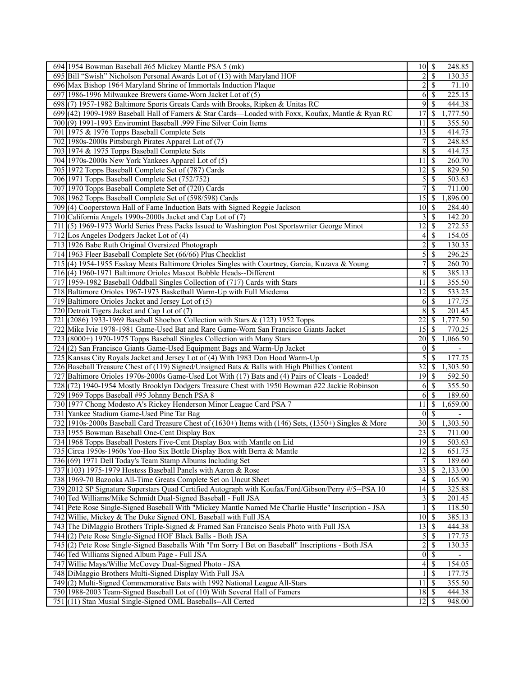| 694 1954 Bowman Baseball #65 Mickey Mantle PSA 5 (mk)                                                 | $10 \mid$ \$               | 248.85                                               |
|-------------------------------------------------------------------------------------------------------|----------------------------|------------------------------------------------------|
| 695 Bill "Swish" Nicholson Personal Awards Lot of (13) with Maryland HOF                              | 2                          | $\mathcal{S}$<br>130.35                              |
| 696 Max Bishop 1964 Maryland Shrine of Immortals Induction Plaque                                     |                            | \$<br>71.10                                          |
| 697 1986-1996 Milwaukee Brewers Game-Worn Jacket Lot of (5)                                           | 6                          | 225.15<br><sup>\$</sup>                              |
| 698(7) 1957-1982 Baltimore Sports Greats Cards with Brooks, Ripken & Unitas RC                        | 9                          | <sup>\$</sup><br>444.38                              |
| 699 (42) 1909-1989 Baseball Hall of Famers & Star Cards—Loaded with Foxx, Koufax, Mantle & Ryan RC    | 17                         | \$<br>1,777.50                                       |
| 700 (9) 1991-1993 Enviromint Baseball .999 Fine Silver Coin Items                                     | 11                         | <sup>\$</sup><br>355.50                              |
| 701 1975 & 1976 Topps Baseball Complete Sets                                                          | 13                         | $\mathcal{S}$<br>414.75                              |
| 702 1980s-2000s Pittsburgh Pirates Apparel Lot of (7)                                                 |                            | \$<br>248.85                                         |
| 703 1974 & 1975 Topps Baseball Complete Sets                                                          | 8                          | \$<br>414.75                                         |
| 704 1970s-2000s New York Yankees Apparel Lot of (5)                                                   | 11                         | $\mathcal{S}$<br>260.70                              |
| 705 1972 Topps Baseball Complete Set of (787) Cards                                                   | 12                         | \$<br>829.50                                         |
| 706 1971 Topps Baseball Complete Set (752/752)                                                        | 5                          | 503.63<br>\$                                         |
| 707 1970 Topps Baseball Complete Set of (720) Cards                                                   | 7                          | $\mathcal{S}$<br>711.00                              |
| 708 1962 Topps Baseball Complete Set of (598/598) Cards                                               | 15                         | $\mathcal{S}$<br>1,896.00                            |
|                                                                                                       |                            |                                                      |
| 709 (4) Cooperstown Hall of Fame Induction Bats with Signed Reggie Jackson                            | 10                         | -\$<br>284.40                                        |
| 710 California Angels 1990s-2000s Jacket and Cap Lot of (7)                                           | 3                          | 142.20<br>\$                                         |
| 711(5) 1969-1973 World Series Press Packs Issued to Washington Post Sportswriter George Minot         | 12                         | \$<br>272.55                                         |
| $712$ Los Angeles Dodgers Jacket Lot of (4)                                                           | 4                          | <sup>\$</sup><br>154.05                              |
| 713 1926 Babe Ruth Original Oversized Photograph                                                      | $\overline{c}$             | \$<br>130.35                                         |
| 714 1963 Fleer Baseball Complete Set (66/66) Plus Checklist                                           | 5                          | \$<br>296.25                                         |
| 715 (4) 1954-1955 Esskay Meats Baltimore Orioles Singles with Courtney, Garcia, Kuzava & Young        | 7                          | $\mathbb{S}$<br>260.70                               |
| 716(4) 1960-1971 Baltimore Orioles Mascot Bobble Heads--Different                                     | 8                          | \$<br>385.13                                         |
| 717 1959-1982 Baseball Oddball Singles Collection of (717) Cards with Stars                           | 11                         | <sup>\$</sup><br>355.50                              |
| 718 Baltimore Orioles 1967-1973 Basketball Warm-Up with Full Miedema                                  | 12                         | 533.25<br>\$                                         |
| 719 Baltimore Orioles Jacket and Jersey Lot of (5)                                                    | 6                          | 177.75<br>$\mathcal{S}$                              |
| 720 Detroit Tigers Jacket and Cap Lot of (7)                                                          | 8                          | <sup>\$</sup><br>201.45                              |
| $(2086)$ 1933-1969 Baseball Shoebox Collection with Stars & $(123)$ 1952 Topps<br>721                 | $\overline{22}$            | \$<br>1,777.50                                       |
| 722<br>Mike Ivie 1978-1981 Game-Used Bat and Rare Game-Worn San Francisco Giants Jacket               | 15                         | 770.25<br>-S                                         |
| 723 (8000+) 1970-1975 Topps Baseball Singles Collection with Many Stars                               | 20                         | $\mathcal{S}$<br>1,066.50                            |
| 724(2) San Francisco Giants Game-Used Equipment Bags and Warm-Up Jacket                               | $\overline{0}$             | $\mathcal{S}$                                        |
| 725 Kansas City Royals Jacket and Jersey Lot of (4) With 1983 Don Hood Warm-Up                        | 5                          | $\mathcal{S}$<br>177.75                              |
| 726 Baseball Treasure Chest of (119) Signed/Unsigned Bats & Balls with High Phillies Content          | 32                         | $\mathcal{S}$<br>1,303.50                            |
| Baltimore Orioles 1970s-2000s Game-Used Lot With (17) Bats and (4) Pairs of Cleats - Loaded!<br>727   | 19                         | $\mathcal{S}$<br>592.50                              |
| 728 (72) 1940-1954 Mostly Brooklyn Dodgers Treasure Chest with 1950 Bowman #22 Jackie Robinson        | 6                          | $\mathcal{S}$<br>355.50                              |
| 729 1969 Topps Baseball #95 Johnny Bench PSA 8                                                        | 6                          | <sup>\$</sup><br>189.60                              |
| 730 1977 Chong Modesto A's Rickey Henderson Minor League Card PSA 7                                   | 11                         | 1,659.00<br>\$                                       |
| 731 Yankee Stadium Game-Used Pine Tar Bag                                                             | $\Omega$                   | $\overline{\mathcal{S}}$<br>$\overline{\phantom{a}}$ |
| 732 1910s-2000s Baseball Card Treasure Chest of (1630+) Items with (146) Sets, (1350+) Singles & More | 30                         | \$<br>1,303.50                                       |
| 733 1955 Bowman Baseball One-Cent Display Box                                                         | $\overline{23}$            | -\$<br>711.00                                        |
| 734 1968 Topps Baseball Posters Five-Cent Display Box with Mantle on Lid                              | $19$ $\overline{\text{S}}$ | $\overline{503.63}$                                  |
|                                                                                                       | 12                         | $\sqrt{S}$                                           |
| 735 Circa 1950s-1960s Yoo-Hoo Six Bottle Display Box with Berra & Mantle                              |                            | 651.75<br>\$<br>189.60                               |
| 736(69) 1971 Dell Today's Team Stamp Albums Including Set                                             |                            |                                                      |
| 737 (103) 1975-1979 Hostess Baseball Panels with Aaron & Rose                                         | 33                         | 2,133.00<br>  \$                                     |
| 738 1969-70 Bazooka All-Time Greats Complete Set on Uncut Sheet                                       | 4                          | 165.90<br>\$                                         |
| 739 2012 SP Signature Superstars Quad Certified Autograph with Koufax/Ford/Gibson/Perry #/5--PSA 10   | 14                         | 325.88<br>\$                                         |
| 740 Ted Williams/Mike Schmidt Dual-Signed Baseball - Full JSA                                         | 3                          | \$<br>201.45                                         |
| 741 Pete Rose Single-Signed Baseball With "Mickey Mantle Named Me Charlie Hustle" Inscription - JSA   |                            | \$<br>118.50                                         |
| 742 Willie, Mickey & The Duke Signed ONL Baseball with Full JSA                                       | 10                         | 385.13<br>$\mathcal{S}$                              |
| 743 The DiMaggio Brothers Triple-Signed & Framed San Francisco Seals Photo with Full JSA              | 13                         | $\mathcal{S}$<br>444.38                              |
| 744(2) Pete Rose Single-Signed HOF Black Balls - Both JSA                                             | 5                          | $\mathbb{S}$<br>177.75                               |
| 745 (2) Pete Rose Single-Signed Baseballs With "I'm Sorry I Bet on Baseball" Inscriptions - Both JSA  | $\overline{2}$             | $\mathcal{S}$<br>130.35                              |
| 746 Ted Williams Signed Album Page - Full JSA                                                         | $\boldsymbol{0}$           | $\mathbb{S}$                                         |
| 747 Willie Mays/Willie McCovey Dual-Signed Photo - JSA                                                | 4                          | \$<br>154.05                                         |
| 748 DiMaggio Brothers Multi-Signed Display With Full JSA                                              | 1                          | $\mathcal{S}$<br>177.75                              |
| 749 (2) Multi-Signed Commemorative Bats with 1992 National League All-Stars                           | 11                         | \$<br>355.50                                         |
| 750 1988-2003 Team-Signed Baseball Lot of (10) With Several Hall of Famers                            | $18 \mid$ \$               | 444.38                                               |
| 751 (11) Stan Musial Single-Signed OML Baseballs--All Certed                                          | $\overline{12}$            | 948.00<br>- \$                                       |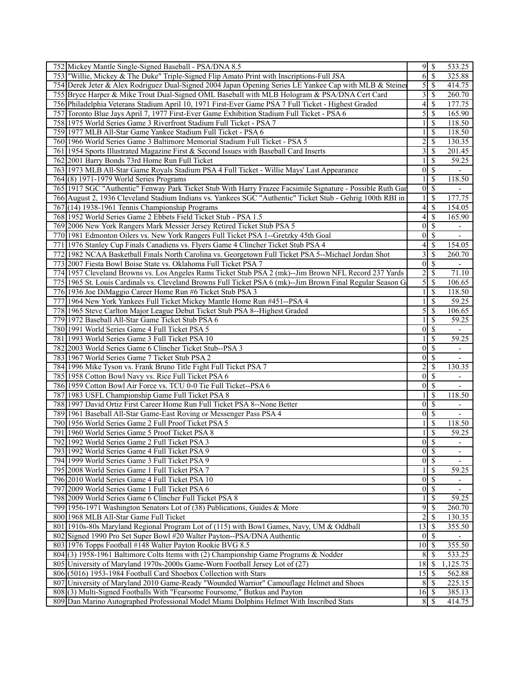| 752 Mickey Mantle Single-Signed Baseball - PSA/DNA 8.5                                                     | $9\sqrt{3}$      |                           | 533.25                   |
|------------------------------------------------------------------------------------------------------------|------------------|---------------------------|--------------------------|
| 753 Willie, Mickey & The Duke" Triple-Signed Flip Amato Print with Inscriptions-Full JSA                   | 6                | $\mathcal{S}$             | 325.88                   |
| 754 Derek Jeter & Alex Rodriguez Dual-Signed 2004 Japan Opening Series LE Yankee Cap with MLB & Steiner    | 5                | $\mathcal{S}$             | 414.75                   |
| 755 Bryce Harper & Mike Trout Dual-Signed OML Baseball with MLB Hologram & PSA/DNA Cert Card               | 3                | <sup>\$</sup>             | 260.70                   |
| 756 Philadelphia Veterans Stadium April 10, 1971 First-Ever Game PSA 7 Full Ticket - Highest Graded        | 4                | \$                        | 177.75                   |
| 757 Toronto Blue Jays April 7, 1977 First-Ever Game Exhibition Stadium Full Ticket - PSA 6                 | 5                | \$                        | 165.90                   |
| 758 1975 World Series Game 3 Riverfront Stadium Full Ticket - PSA 7                                        |                  | \$                        | 118.50                   |
| 759 1977 MLB All-Star Game Yankee Stadium Full Ticket - PSA 6                                              |                  | \$                        | 118.50                   |
| 760 1966 World Series Game 3 Baltimore Memorial Stadium Full Ticket - PSA 5                                | $\overline{c}$   | \$                        | 130.35                   |
| 761 1954 Sports Illustrated Magazine First & Second Issues with Baseball Card Inserts                      | 3                | \$                        | 201.45                   |
| 762 2001 Barry Bonds 73rd Home Run Full Ticket                                                             |                  | \$                        | 59.25                    |
| 763 1973 MLB All-Star Game Royals Stadium PSA 4 Full Ticket - Willie Mays' Last Appearance                 | $\overline{0}$   |                           | $\blacksquare$           |
|                                                                                                            |                  | \$                        |                          |
| 764 (8) 1971-1979 World Series Programs                                                                    |                  | \$                        | 118.50                   |
| 765 1917 SGC "Authentic" Fenway Park Ticket Stub With Harry Frazee Facsimile Signature - Possible Ruth Gar | $\overline{0}$   | $\mathcal{S}$             |                          |
| 766 August 2, 1936 Cleveland Stadium Indians vs. Yankees SGC "Authentic" Ticket Stub - Gehrig 100th RBI in |                  | <sup>\$</sup>             | 177.75                   |
| 767 (14) 1938-1961 Tennis Championship Programs                                                            | 4                | \$                        | 154.05                   |
| 768 1952 World Series Game 2 Ebbets Field Ticket Stub - PSA 1.5                                            | 4                | \$                        | 165.90                   |
| 769 2006 New York Rangers Mark Messier Jersey Retired Ticket Stub PSA 5                                    | $\overline{0}$   | <sup>\$</sup>             | $\overline{\phantom{0}}$ |
| 770 1981 Edmonton Oilers vs. New York Rangers Full Ticket PSA 1--Gretzky 45th Goal                         | $\overline{0}$   | $\mathcal{S}$             | $\overline{\phantom{a}}$ |
| 771 1976 Stanley Cup Finals Canadiens vs. Flyers Game 4 Clincher Ticket Stub PSA 4                         | 4                | \$                        | 154.05                   |
| 772 1982 NCAA Basketball Finals North Carolina vs. Georgetown Full Ticket PSA 5--Michael Jordan Shot       | 3                | \$                        | 260.70                   |
| 773 2007 Fiesta Bowl Boise State vs. Oklahoma Full Ticket PSA 7                                            | $\overline{0}$   | $\overline{\mathcal{S}}$  | $\overline{\phantom{a}}$ |
| 774 1957 Cleveland Browns vs. Los Angeles Rams Ticket Stub PSA 2 (mk)--Jim Brown NFL Record 237 Yards      | 2                | <sup>\$</sup>             | 71.10                    |
| 775 1965 St. Louis Cardinals vs. Cleveland Browns Full Ticket PSA 6 (mk)--Jim Brown Final Regular Season G | 5                | $\mathcal{S}$             | 106.65                   |
| 776 1936 Joe DiMaggio Career Home Run #6 Ticket Stub PSA 3                                                 |                  | <sup>\$</sup>             | 118.50                   |
| 777 1964 New York Yankees Full Ticket Mickey Mantle Home Run #451--PSA 4                                   |                  | \$                        | 59.25                    |
| 778 1965 Steve Carlton Major League Debut Ticket Stub PSA 8--Highest Graded                                | 5                | \$                        | 106.65                   |
| 779 1972 Baseball All-Star Game Ticket Stub PSA 6                                                          |                  | \$                        | 59.25                    |
| 780 1991 World Series Game 4 Full Ticket PSA 5                                                             | $\theta$         | \$                        |                          |
| 781 1993 World Series Game 3 Full Ticket PSA 10                                                            |                  | \$                        | 59.25                    |
| 782 2003 World Series Game 6 Clincher Ticket Stub--PSA 3                                                   | $\overline{0}$   | $\mathcal{S}$             | $\overline{\phantom{a}}$ |
| 783 1967 World Series Game 7 Ticket Stub PSA 2                                                             | $\overline{0}$   | $\mathcal{S}$             |                          |
| 784 1996 Mike Tyson vs. Frank Bruno Title Fight Full Ticket PSA 7                                          |                  | $\boldsymbol{\mathsf{S}}$ | 130.35                   |
| 785 1958 Cotton Bowl Navy vs. Rice Full Ticket PSA 6                                                       | 0                | \$                        | $\overline{\phantom{a}}$ |
| 786 1959 Cotton Bowl Air Force vs. TCU 0-0 Tie Full Ticket--PSA 6                                          | $\overline{0}$   | \$                        |                          |
| 787 1983 USFL Championship Game Full Ticket PSA 8                                                          |                  | $\mathbb{S}$              | 118.50                   |
| 788 1997 David Ortiz First Career Home Run Full Ticket PSA 8--None Better                                  | $\overline{0}$   | $\overline{\mathcal{S}}$  | $\overline{\phantom{a}}$ |
| 789 1961 Baseball All-Star Game-East Roving or Messenger Pass PSA 4                                        | $\boldsymbol{0}$ | $\mathcal{S}$             |                          |
| 790 1956 World Series Game 2 Full Proof Ticket PSA 5                                                       |                  | $\mathbb{S}$              | 118.50                   |
| 791 1960 World Series Game 5 Proof Ticket PSA 8                                                            |                  | $\mathbb{S}$              | 59.25                    |
| 792 1992 World Series Game 2 Full Ticket PSA 3                                                             | $\overline{0}$   | $\overline{\mathcal{S}}$  | $\overline{\phantom{a}}$ |
| 793 1992 World Series Game 4 Full Ticket PSA 9                                                             |                  | $0 \mid \mathsf{S}$       | $\overline{\phantom{a}}$ |
| 794 1999 World Series Game 3 Full Ticket PSA 9                                                             | $\overline{0}$   | $\overline{\mathcal{S}}$  |                          |
| 795 2008 World Series Game 1 Full Ticket PSA 7                                                             | 1                | $\overline{\mathcal{S}}$  | 59.25                    |
| 796 2010 World Series Game 4 Full Ticket PSA 10                                                            | $\overline{0}$   | $\overline{\mathcal{S}}$  | $\overline{\phantom{a}}$ |
| 797 2009 World Series Game 1 Full Ticket PSA 6                                                             | $\boldsymbol{0}$ | <sup>\$</sup>             | $\overline{\phantom{0}}$ |
| 798 2009 World Series Game 6 Clincher Full Ticket PSA 8                                                    | 1                | <sup>\$</sup>             | 59.25                    |
| 799 1956-1971 Washington Senators Lot of (38) Publications, Guides & More                                  | 9                | $\mathcal{S}$             | 260.70                   |
| 800 1968 MLB All-Star Game Full Ticket                                                                     | 2                | \$                        | 130.35                   |
| 801 1910s-80s Maryland Regional Program Lot of (115) with Bowl Games, Navy, UM & Oddball                   | 13               | $\mathcal{S}$             | 355.50                   |
| 802 Signed 1990 Pro Set Super Bowl #20 Walter Payton--PSA/DNA Authentic                                    | $\overline{0}$   | $\overline{\mathcal{S}}$  |                          |
| 803 1976 Topps Football #148 Walter Payton Rookie BVG 8.5                                                  | 10               | <sup>\$</sup>             | 355.50                   |
| 804(3) 1958-1961 Baltimore Colts Items with (2) Championship Game Programs & Nodder                        | 8                | \$                        | 533.25                   |
| 805 University of Maryland 1970s-2000s Game-Worn Football Jersey Lot of (27)                               | 18               | - \$                      | 1,125.75                 |
| 806 (5016) 1953-1984 Football Card Shoebox Collection with Stars                                           | 15               | - \$                      | 562.88                   |
| 807 University of Maryland 2010 Game-Ready "Wounded Warrior" Camouflage Helmet and Shoes                   | 8                | $\mathcal{S}$             | 225.15                   |
| 808(3) Multi-Signed Footballs With "Fearsome Foursome," Butkus and Payton                                  | $16 \mid$ \$     |                           | 385.13                   |
| 809 Dan Marino Autographed Professional Model Miami Dolphins Helmet With Inscribed Stats                   |                  | $8 \mid$ \$               | 414.75                   |